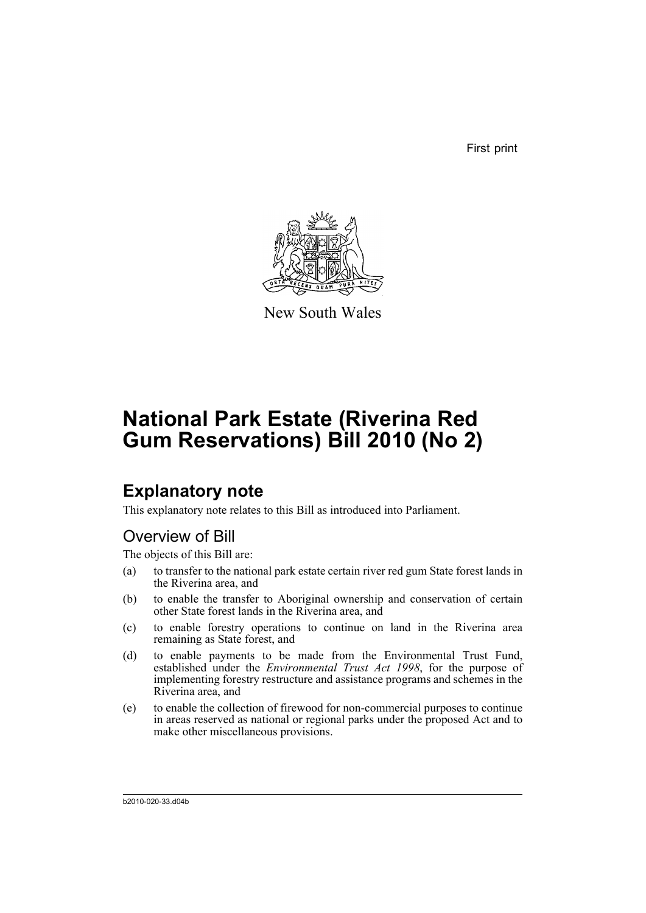First print



New South Wales

# **National Park Estate (Riverina Red Gum Reservations) Bill 2010 (No 2)**

## **Explanatory note**

This explanatory note relates to this Bill as introduced into Parliament.

## Overview of Bill

The objects of this Bill are:

- (a) to transfer to the national park estate certain river red gum State forest lands in the Riverina area, and
- (b) to enable the transfer to Aboriginal ownership and conservation of certain other State forest lands in the Riverina area, and
- (c) to enable forestry operations to continue on land in the Riverina area remaining as State forest, and
- (d) to enable payments to be made from the Environmental Trust Fund, established under the *Environmental Trust Act 1998*, for the purpose of implementing forestry restructure and assistance programs and schemes in the Riverina area, and
- (e) to enable the collection of firewood for non-commercial purposes to continue in areas reserved as national or regional parks under the proposed Act and to make other miscellaneous provisions.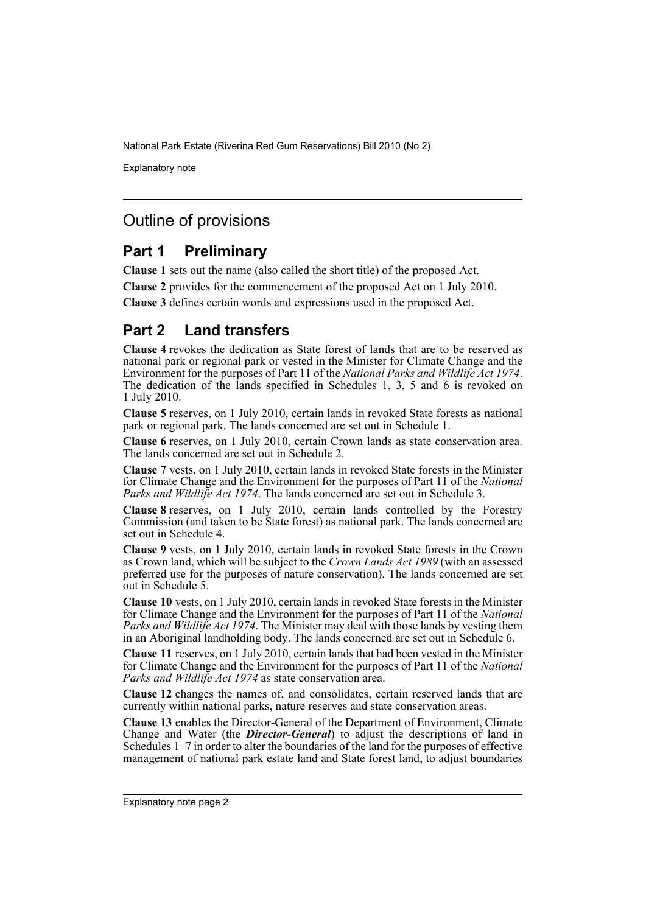Explanatory note

### Outline of provisions

### **Part 1 Preliminary**

**Clause 1** sets out the name (also called the short title) of the proposed Act.

**Clause 2** provides for the commencement of the proposed Act on 1 July 2010.

**Clause 3** defines certain words and expressions used in the proposed Act.

### **Part 2 Land transfers**

**Clause 4** revokes the dedication as State forest of lands that are to be reserved as national park or regional park or vested in the Minister for Climate Change and the Environment for the purposes of Part 11 of the *National Parks and Wildlife Act 1974*. The dedication of the lands specified in Schedules 1, 3, 5 and 6 is revoked on 1 July 2010.

**Clause 5** reserves, on 1 July 2010, certain lands in revoked State forests as national park or regional park. The lands concerned are set out in Schedule 1.

**Clause 6** reserves, on 1 July 2010, certain Crown lands as state conservation area. The lands concerned are set out in Schedule 2.

**Clause 7** vests, on 1 July 2010, certain lands in revoked State forests in the Minister for Climate Change and the Environment for the purposes of Part 11 of the *National Parks and Wildlife Act 1974*. The lands concerned are set out in Schedule 3.

**Clause 8** reserves, on 1 July 2010, certain lands controlled by the Forestry Commission (and taken to be State forest) as national park. The lands concerned are set out in Schedule 4.

**Clause 9** vests, on 1 July 2010, certain lands in revoked State forests in the Crown as Crown land, which will be subject to the *Crown Lands Act 1989* (with an assessed preferred use for the purposes of nature conservation). The lands concerned are set out in Schedule 5.

**Clause 10** vests, on 1 July 2010, certain lands in revoked State forests in the Minister for Climate Change and the Environment for the purposes of Part 11 of the *National Parks and Wildlife Act 1974*. The Minister may deal with those lands by vesting them in an Aboriginal landholding body. The lands concerned are set out in Schedule 6.

**Clause 11** reserves, on 1 July 2010, certain lands that had been vested in the Minister for Climate Change and the Environment for the purposes of Part 11 of the *National Parks and Wildlife Act 1974* as state conservation area.

**Clause 12** changes the names of, and consolidates, certain reserved lands that are currently within national parks, nature reserves and state conservation areas.

**Clause 13** enables the Director-General of the Department of Environment, Climate Change and Water (the *Director-General*) to adjust the descriptions of land in Schedules 1–7 in order to alter the boundaries of the land for the purposes of effective management of national park estate land and State forest land, to adjust boundaries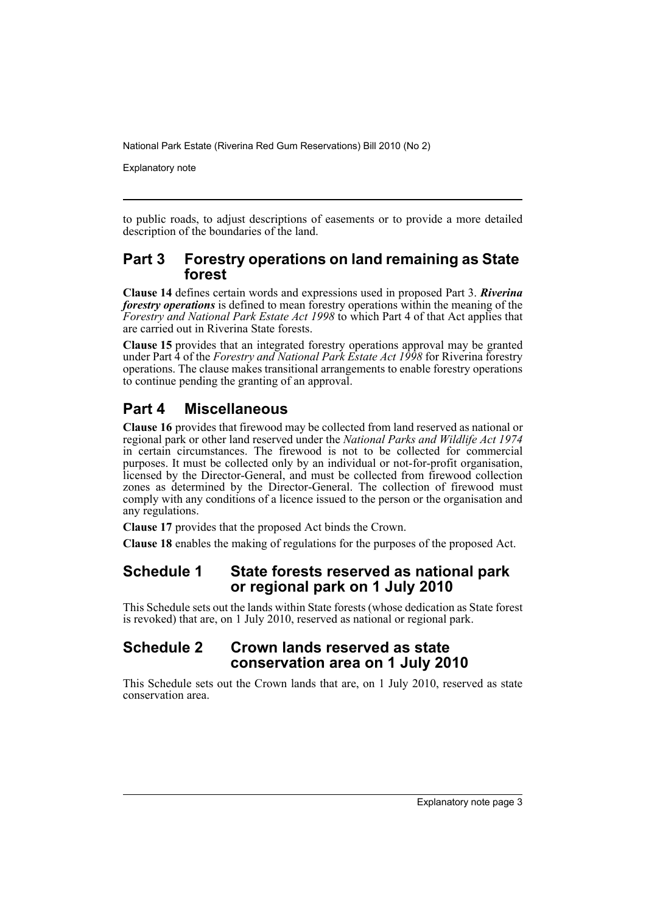Explanatory note

to public roads, to adjust descriptions of easements or to provide a more detailed description of the boundaries of the land.

### **Part 3 Forestry operations on land remaining as State forest**

**Clause 14** defines certain words and expressions used in proposed Part 3. *Riverina forestry operations* is defined to mean forestry operations within the meaning of the *Forestry and National Park Estate Act 1998* to which Part 4 of that Act applies that are carried out in Riverina State forests.

**Clause 15** provides that an integrated forestry operations approval may be granted under Part 4 of the *Forestry and National Park Estate Act 1998* for Riverina forestry operations. The clause makes transitional arrangements to enable forestry operations to continue pending the granting of an approval.

### **Part 4 Miscellaneous**

**Clause 16** provides that firewood may be collected from land reserved as national or regional park or other land reserved under the *National Parks and Wildlife Act 1974* in certain circumstances. The firewood is not to be collected for commercial purposes. It must be collected only by an individual or not-for-profit organisation, licensed by the Director-General, and must be collected from firewood collection zones as determined by the Director-General. The collection of firewood must comply with any conditions of a licence issued to the person or the organisation and any regulations.

**Clause 17** provides that the proposed Act binds the Crown.

**Clause 18** enables the making of regulations for the purposes of the proposed Act.

### **Schedule 1 State forests reserved as national park or regional park on 1 July 2010**

This Schedule sets out the lands within State forests (whose dedication as State forest is revoked) that are, on 1 July 2010, reserved as national or regional park.

### **Schedule 2 Crown lands reserved as state conservation area on 1 July 2010**

This Schedule sets out the Crown lands that are, on 1 July 2010, reserved as state conservation area.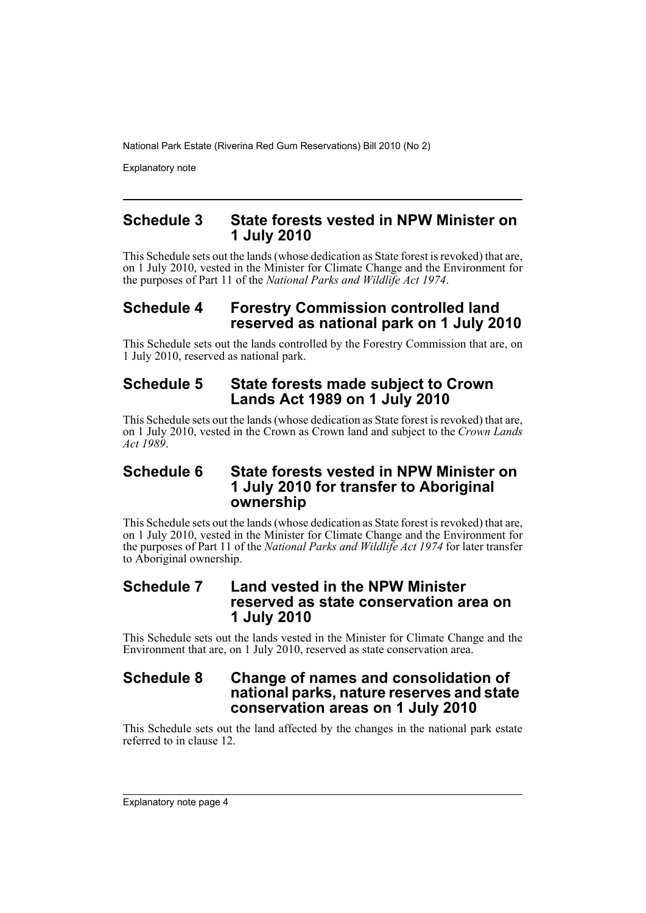Explanatory note

### **Schedule 3 State forests vested in NPW Minister on 1 July 2010**

This Schedule sets out the lands (whose dedication as State forest is revoked) that are, on 1 July 2010, vested in the Minister for Climate Change and the Environment for the purposes of Part 11 of the *National Parks and Wildlife Act 1974*.

### **Schedule 4 Forestry Commission controlled land reserved as national park on 1 July 2010**

This Schedule sets out the lands controlled by the Forestry Commission that are, on 1 July 2010, reserved as national park.

### **Schedule 5 State forests made subject to Crown Lands Act 1989 on 1 July 2010**

This Schedule sets out the lands (whose dedication as State forest is revoked) that are, on 1 July 2010, vested in the Crown as Crown land and subject to the *Crown Lands Act 1989*.

### **Schedule 6 State forests vested in NPW Minister on 1 July 2010 for transfer to Aboriginal ownership**

This Schedule sets out the lands (whose dedication as State forest is revoked) that are, on 1 July 2010, vested in the Minister for Climate Change and the Environment for the purposes of Part 11 of the *National Parks and Wildlife Act 1974* for later transfer to Aboriginal ownership.

### **Schedule 7 Land vested in the NPW Minister reserved as state conservation area on 1 July 2010**

This Schedule sets out the lands vested in the Minister for Climate Change and the Environment that are, on 1 July 2010, reserved as state conservation area.

### **Schedule 8 Change of names and consolidation of national parks, nature reserves and state conservation areas on 1 July 2010**

This Schedule sets out the land affected by the changes in the national park estate referred to in clause 12.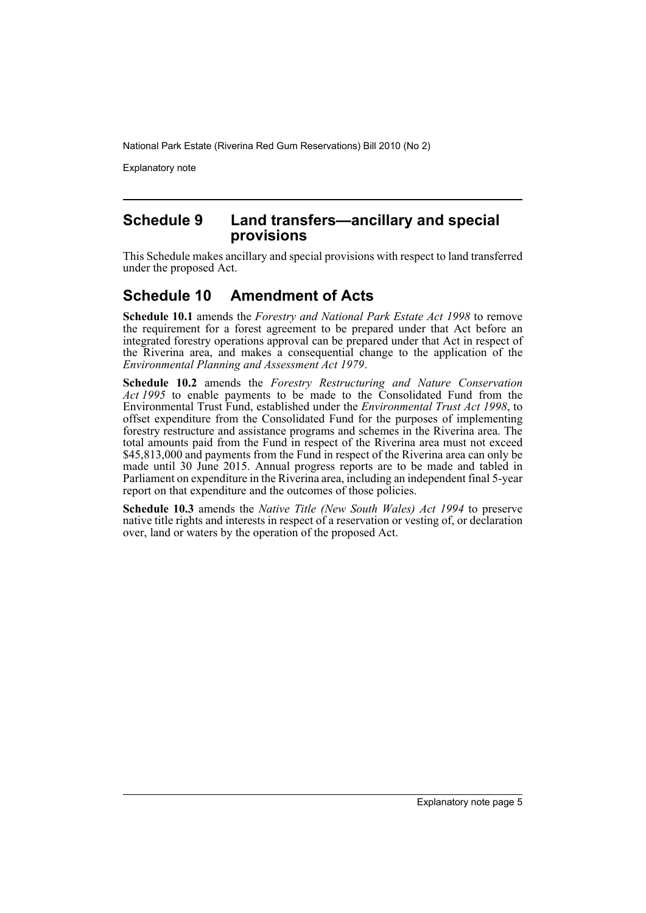Explanatory note

### **Schedule 9 Land transfers—ancillary and special provisions**

This Schedule makes ancillary and special provisions with respect to land transferred under the proposed Act.

### **Schedule 10 Amendment of Acts**

**Schedule 10.1** amends the *Forestry and National Park Estate Act 1998* to remove the requirement for a forest agreement to be prepared under that Act before an integrated forestry operations approval can be prepared under that Act in respect of the Riverina area, and makes a consequential change to the application of the *Environmental Planning and Assessment Act 1979*.

**Schedule 10.2** amends the *Forestry Restructuring and Nature Conservation Act 1995* to enable payments to be made to the Consolidated Fund from the Environmental Trust Fund, established under the *Environmental Trust Act 1998*, to offset expenditure from the Consolidated Fund for the purposes of implementing forestry restructure and assistance programs and schemes in the Riverina area. The total amounts paid from the Fund in respect of the Riverina area must not exceed \$45,813,000 and payments from the Fund in respect of the Riverina area can only be made until 30 June 2015. Annual progress reports are to be made and tabled in Parliament on expenditure in the Riverina area, including an independent final 5-year report on that expenditure and the outcomes of those policies.

**Schedule 10.3** amends the *Native Title (New South Wales) Act 1994* to preserve native title rights and interests in respect of a reservation or vesting of, or declaration over, land or waters by the operation of the proposed Act.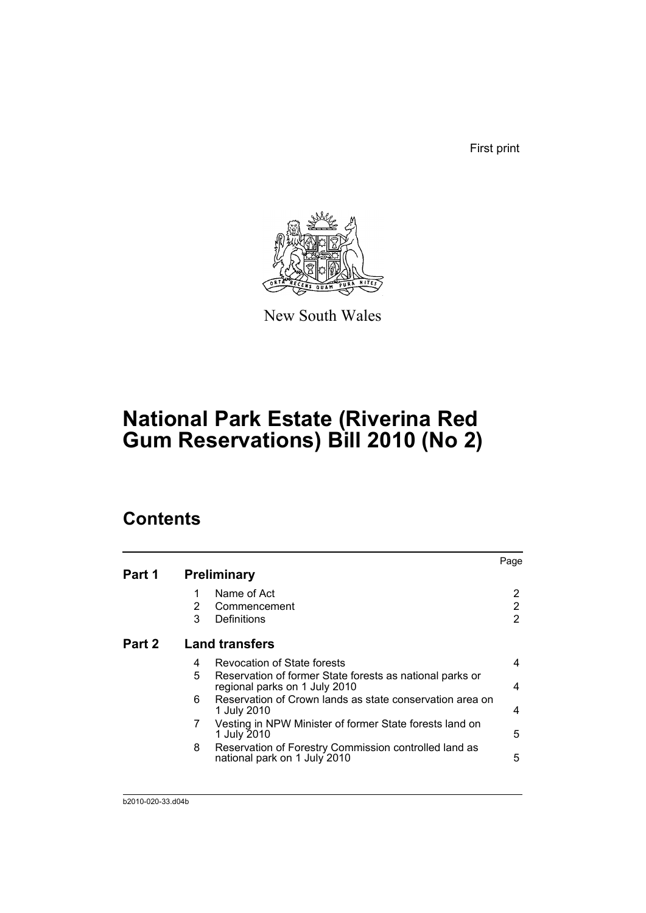First print



New South Wales

## **National Park Estate (Riverina Red Gum Reservations) Bill 2010 (No 2)**

## **Contents**

|        |   |                                                                                           | Page |
|--------|---|-------------------------------------------------------------------------------------------|------|
| Part 1 |   | <b>Preliminary</b>                                                                        |      |
|        | 1 | Name of Act                                                                               |      |
|        | 2 | Commencement                                                                              | 2    |
|        | 3 | Definitions                                                                               | 2    |
| Part 2 |   | <b>Land transfers</b>                                                                     |      |
|        | 4 | Revocation of State forests                                                               | 4    |
|        | 5 | Reservation of former State forests as national parks or<br>regional parks on 1 July 2010 | 4    |
|        | 6 | Reservation of Crown lands as state conservation area on<br>1 July 2010                   | 4    |
|        | 7 | Vesting in NPW Minister of former State forests land on<br>1 July 2010                    | 5    |
|        | 8 | Reservation of Forestry Commission controlled land as<br>national park on 1 July 2010     | 5    |
|        |   |                                                                                           |      |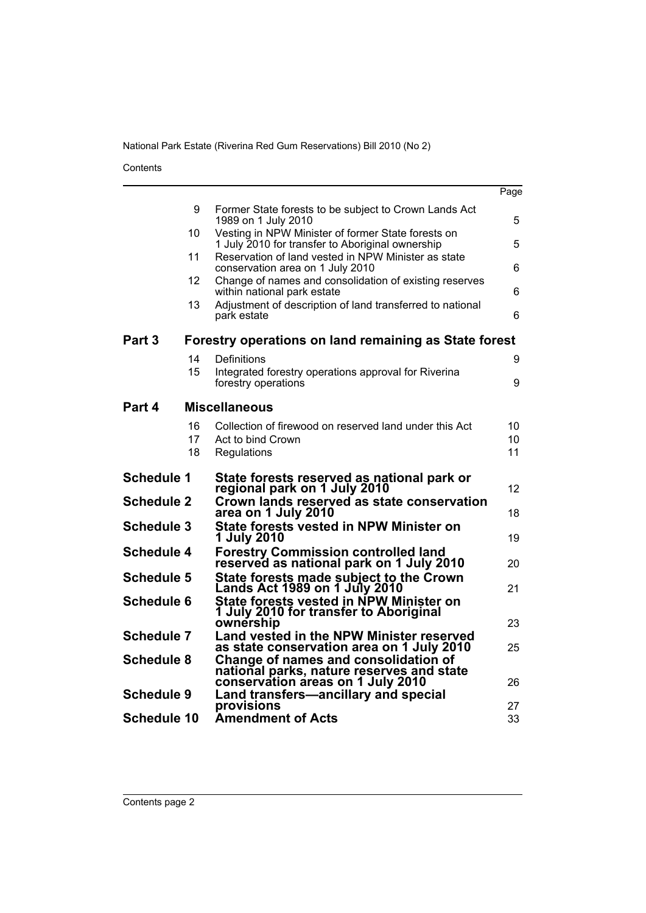Contents

|                    |                   |                                                                                         | Page     |
|--------------------|-------------------|-----------------------------------------------------------------------------------------|----------|
|                    | 9                 | Former State forests to be subject to Crown Lands Act                                   |          |
|                    | 10                | 1989 on 1 July 2010<br>Vesting in NPW Minister of former State forests on               | 5.       |
|                    |                   | 1 July 2010 for transfer to Aboriginal ownership                                        | 5        |
|                    | 11                | Reservation of land vested in NPW Minister as state<br>conservation area on 1 July 2010 | 6        |
|                    | $12 \overline{ }$ | Change of names and consolidation of existing reserves<br>within national park estate   | 6        |
|                    | 13                | Adjustment of description of land transferred to national<br>park estate                | 6        |
| Part 3             |                   | Forestry operations on land remaining as State forest                                   |          |
|                    | 14                | Definitions                                                                             | 9        |
|                    | 15                | Integrated forestry operations approval for Riverina<br>forestry operations             | 9        |
| Part 4             |                   | <b>Miscellaneous</b>                                                                    |          |
|                    | 16                | Collection of firewood on reserved land under this Act                                  | 10       |
|                    | 17<br>18          | Act to bind Crown<br>Regulations                                                        | 10<br>11 |
|                    |                   |                                                                                         |          |
| <b>Schedule 1</b>  |                   | State forests reserved as national park or<br>regional park on 1 July 2010              | 12       |
| <b>Schedule 2</b>  |                   | Crown lands reserved as state conservation<br>area on 1 July 2010                       | 18       |
| <b>Schedule 3</b>  |                   | State forests vested in NPW Minister on                                                 |          |
| <b>Schedule 4</b>  |                   | 1 July 2010<br><b>Forestry Commission controlled land</b>                               | 19       |
|                    |                   | reserved as national park on 1 July 2010                                                | 20       |
| <b>Schedule 5</b>  |                   | State forests made subject to the Crown<br>Lands Act 1989 on 1 July 2010                | 21       |
| <b>Schedule 6</b>  |                   | State forests vested in NPW Minister on                                                 |          |
|                    |                   | 1 July 2010 for transfer to Aboriginal<br>ownership                                     | 23       |
| <b>Schedule 7</b>  |                   | Land vested in the NPW Minister reserved<br>as state conservation area on 1 July 2010   | 25       |
| <b>Schedule 8</b>  |                   | Change of names and consolidation of                                                    |          |
|                    |                   | national parks, nature reserves and state<br>conservation areas on 1 July 2010          | 26       |
| <b>Schedule 9</b>  |                   | Land transfers-ancillary and special<br>provisions                                      | 27       |
| <b>Schedule 10</b> |                   | <b>Amendment of Acts</b>                                                                | 33       |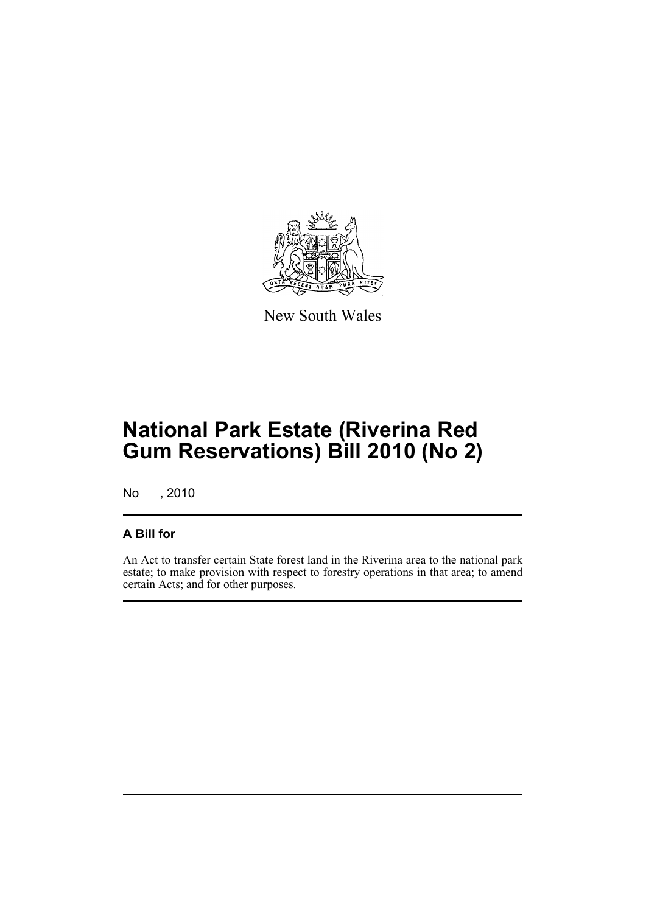

New South Wales

## **National Park Estate (Riverina Red Gum Reservations) Bill 2010 (No 2)**

No , 2010

### **A Bill for**

An Act to transfer certain State forest land in the Riverina area to the national park estate; to make provision with respect to forestry operations in that area; to amend certain Acts; and for other purposes.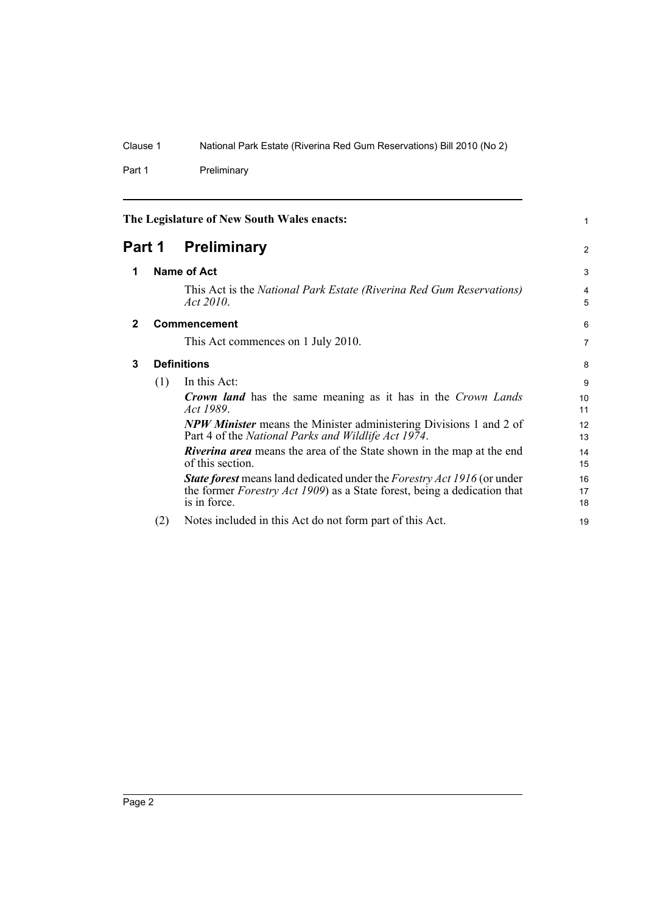Part 1 Preliminary

<span id="page-9-3"></span><span id="page-9-2"></span><span id="page-9-1"></span><span id="page-9-0"></span>

| The Legislature of New South Wales enacts: |     |                                                                                                                                                                                           | 1              |
|--------------------------------------------|-----|-------------------------------------------------------------------------------------------------------------------------------------------------------------------------------------------|----------------|
| Part 1                                     |     | <b>Preliminary</b>                                                                                                                                                                        | 2              |
| 1                                          |     | Name of Act                                                                                                                                                                               | 3              |
|                                            |     | This Act is the National Park Estate (Riverina Red Gum Reservations)<br>Act 2010.                                                                                                         | 4<br>5         |
| $\mathbf{2}$                               |     | <b>Commencement</b>                                                                                                                                                                       | 6              |
|                                            |     | This Act commences on 1 July 2010.                                                                                                                                                        | 7              |
| 3                                          |     | <b>Definitions</b>                                                                                                                                                                        |                |
|                                            | (1) | In this Act:                                                                                                                                                                              | 9              |
|                                            |     | <b>Crown land</b> has the same meaning as it has in the Crown Lands<br>Act 1989.                                                                                                          | 10<br>11       |
|                                            |     | <b>NPW Minister</b> means the Minister administering Divisions 1 and 2 of<br>Part 4 of the National Parks and Wildlife Act 1974.                                                          | 12<br>13       |
|                                            |     | <b>Riverina area</b> means the area of the State shown in the map at the end<br>of this section.                                                                                          | 14<br>15       |
|                                            |     | <b>State forest</b> means land dedicated under the <i>Forestry Act 1916</i> (or under<br>the former <i>Forestry Act 1909</i> ) as a State forest, being a dedication that<br>is in force. | 16<br>17<br>18 |
|                                            | (2) | Notes included in this Act do not form part of this Act.                                                                                                                                  | 19             |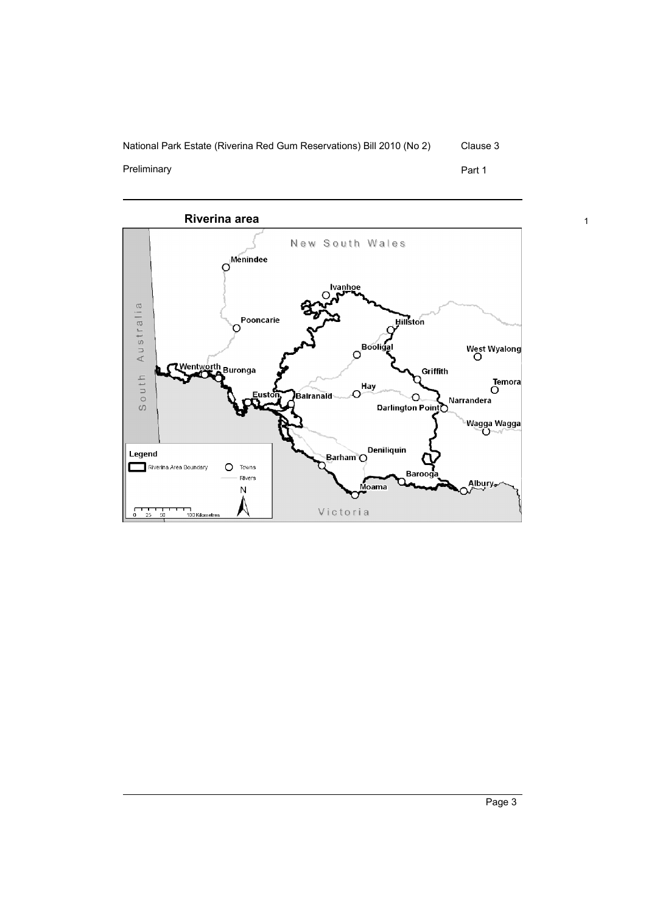#### Preliminary **Preliminary** Part 1



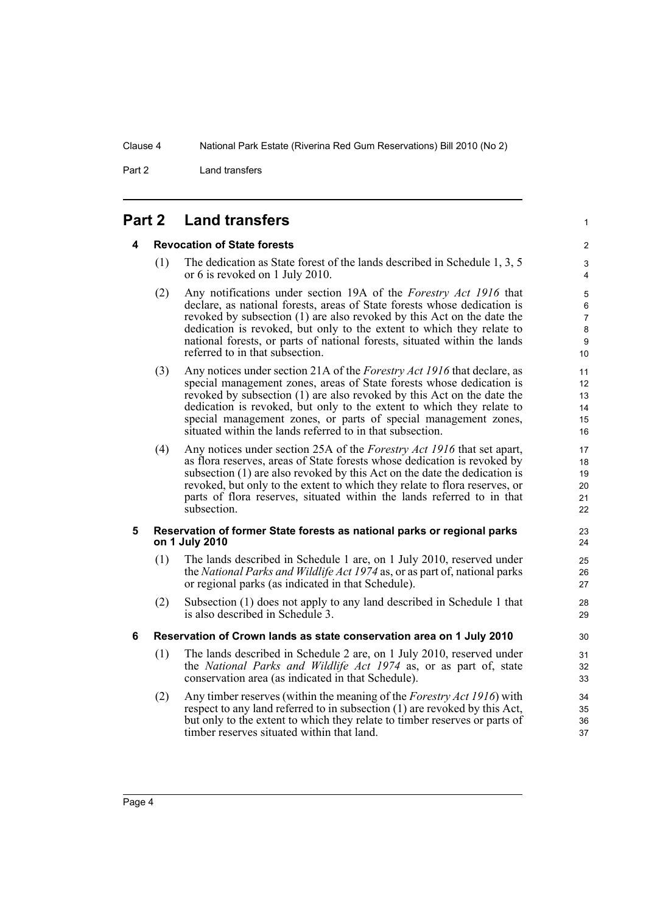Part 2 Land transfers

### <span id="page-11-1"></span><span id="page-11-0"></span>**Part 2 Land transfers**

#### **4 Revocation of State forests**

(1) The dedication as State forest of the lands described in Schedule 1, 3, 5 or 6 is revoked on 1 July 2010.

1

- (2) Any notifications under section 19A of the *Forestry Act 1916* that declare, as national forests, areas of State forests whose dedication is revoked by subsection (1) are also revoked by this Act on the date the dedication is revoked, but only to the extent to which they relate to national forests, or parts of national forests, situated within the lands referred to in that subsection.
- (3) Any notices under section 21A of the *Forestry Act 1916* that declare, as special management zones, areas of State forests whose dedication is revoked by subsection (1) are also revoked by this Act on the date the dedication is revoked, but only to the extent to which they relate to special management zones, or parts of special management zones, situated within the lands referred to in that subsection.
- (4) Any notices under section 25A of the *Forestry Act 1916* that set apart, as flora reserves, areas of State forests whose dedication is revoked by subsection (1) are also revoked by this Act on the date the dedication is revoked, but only to the extent to which they relate to flora reserves, or parts of flora reserves, situated within the lands referred to in that subsection.

#### <span id="page-11-2"></span>**5 Reservation of former State forests as national parks or regional parks on 1 July 2010**

- (1) The lands described in Schedule 1 are, on 1 July 2010, reserved under the *National Parks and Wildlife Act 1974* as, or as part of, national parks or regional parks (as indicated in that Schedule).
- (2) Subsection (1) does not apply to any land described in Schedule 1 that is also described in Schedule 3.

#### <span id="page-11-3"></span>**6 Reservation of Crown lands as state conservation area on 1 July 2010**

- (1) The lands described in Schedule 2 are, on 1 July 2010, reserved under the *National Parks and Wildlife Act 1974* as, or as part of, state conservation area (as indicated in that Schedule).
- (2) Any timber reserves (within the meaning of the *Forestry Act 1916*) with respect to any land referred to in subsection (1) are revoked by this Act, but only to the extent to which they relate to timber reserves or parts of timber reserves situated within that land.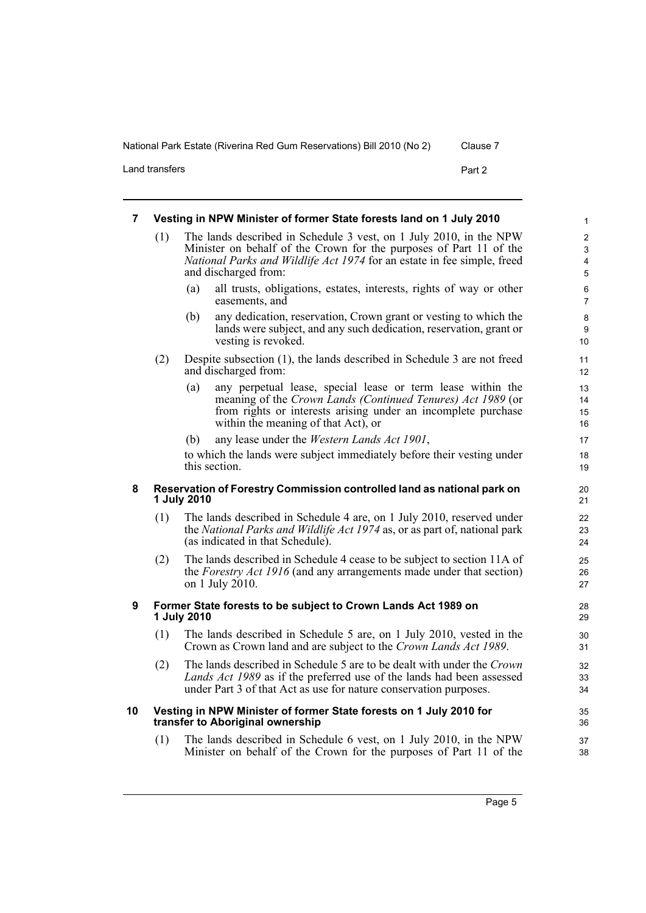Land transfers Part 2

#### <span id="page-12-0"></span>**7 Vesting in NPW Minister of former State forests land on 1 July 2010**

- (1) The lands described in Schedule 3 vest, on 1 July 2010, in the NPW Minister on behalf of the Crown for the purposes of Part 11 of the *National Parks and Wildlife Act 1974* for an estate in fee simple, freed and discharged from:
	- (a) all trusts, obligations, estates, interests, rights of way or other easements, and
	- (b) any dedication, reservation, Crown grant or vesting to which the lands were subject, and any such dedication, reservation, grant or vesting is revoked.
- (2) Despite subsection (1), the lands described in Schedule 3 are not freed and discharged from:
	- (a) any perpetual lease, special lease or term lease within the meaning of the *Crown Lands (Continued Tenures) Act 1989* (or from rights or interests arising under an incomplete purchase within the meaning of that Act), or
	- (b) any lease under the *Western Lands Act 1901*,

to which the lands were subject immediately before their vesting under this section.

#### <span id="page-12-1"></span>**8 Reservation of Forestry Commission controlled land as national park on 1 July 2010**

- (1) The lands described in Schedule 4 are, on 1 July 2010, reserved under the *National Parks and Wildlife Act 1974* as, or as part of, national park (as indicated in that Schedule).
- (2) The lands described in Schedule 4 cease to be subject to section 11A of the *Forestry Act 1916* (and any arrangements made under that section) on 1 July 2010.

#### <span id="page-12-2"></span>**9 Former State forests to be subject to Crown Lands Act 1989 on 1 July 2010**

- (1) The lands described in Schedule 5 are, on 1 July 2010, vested in the Crown as Crown land and are subject to the *Crown Lands Act 1989*.
- (2) The lands described in Schedule 5 are to be dealt with under the *Crown Lands Act 1989* as if the preferred use of the lands had been assessed under Part 3 of that Act as use for nature conservation purposes.

#### <span id="page-12-3"></span>**10 Vesting in NPW Minister of former State forests on 1 July 2010 for transfer to Aboriginal ownership**

(1) The lands described in Schedule 6 vest, on 1 July 2010, in the NPW Minister on behalf of the Crown for the purposes of Part 11 of the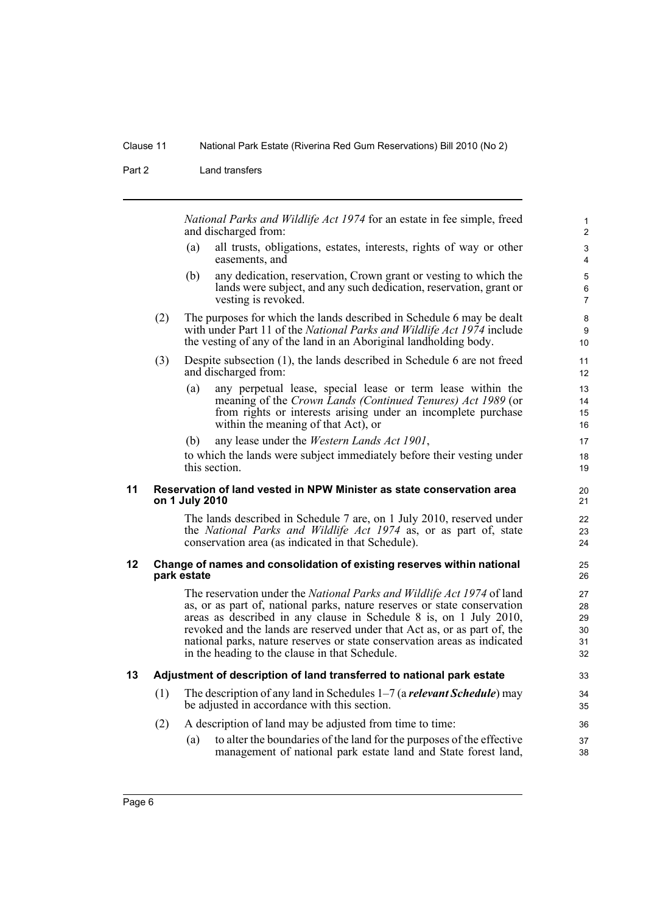Part 2 Land transfers

*National Parks and Wildlife Act 1974* for an estate in fee simple, freed and discharged from:

- (a) all trusts, obligations, estates, interests, rights of way or other easements, and
- (b) any dedication, reservation, Crown grant or vesting to which the lands were subject, and any such dedication, reservation, grant or vesting is revoked.
- (2) The purposes for which the lands described in Schedule 6 may be dealt with under Part 11 of the *National Parks and Wildlife Act 1974* include the vesting of any of the land in an Aboriginal landholding body.
- (3) Despite subsection (1), the lands described in Schedule 6 are not freed and discharged from:
	- (a) any perpetual lease, special lease or term lease within the meaning of the *Crown Lands (Continued Tenures) Act 1989* (or from rights or interests arising under an incomplete purchase within the meaning of that Act), or
	- (b) any lease under the *Western Lands Act 1901*,

to which the lands were subject immediately before their vesting under this section.

#### <span id="page-13-0"></span>**11 Reservation of land vested in NPW Minister as state conservation area on 1 July 2010**

The lands described in Schedule 7 are, on 1 July 2010, reserved under the *National Parks and Wildlife Act 1974* as, or as part of, state conservation area (as indicated in that Schedule).

#### <span id="page-13-1"></span>**12 Change of names and consolidation of existing reserves within national park estate**

The reservation under the *National Parks and Wildlife Act 1974* of land as, or as part of, national parks, nature reserves or state conservation areas as described in any clause in Schedule 8 is, on 1 July 2010, revoked and the lands are reserved under that Act as, or as part of, the national parks, nature reserves or state conservation areas as indicated in the heading to the clause in that Schedule.

#### <span id="page-13-2"></span>**13 Adjustment of description of land transferred to national park estate**

- (1) The description of any land in Schedules 1–7 (a *relevant Schedule*) may be adjusted in accordance with this section.
- (2) A description of land may be adjusted from time to time:
	- (a) to alter the boundaries of the land for the purposes of the effective management of national park estate land and State forest land,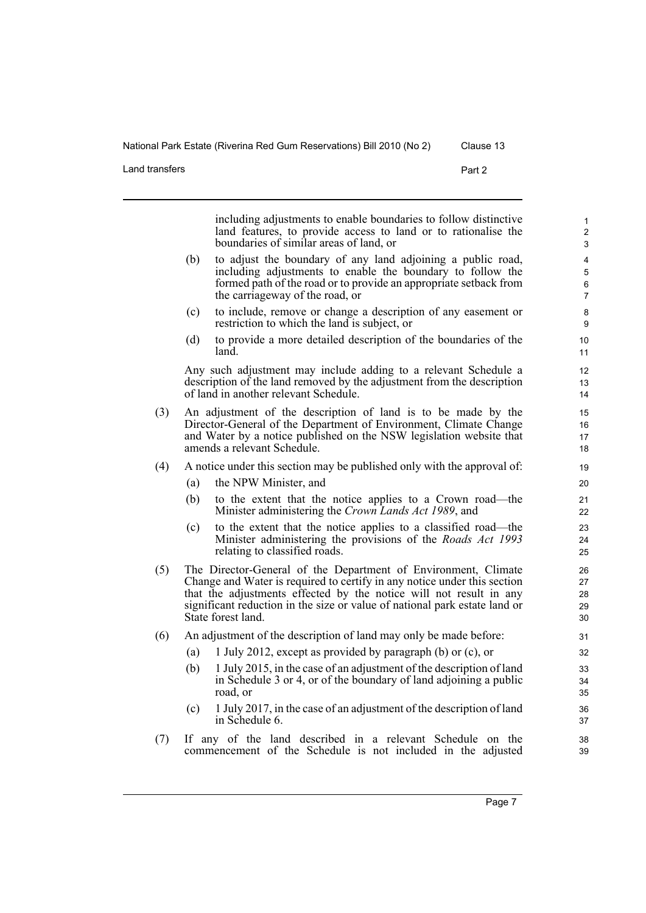Land transfers Part 2

including adjustments to enable boundaries to follow distinctive land features, to provide access to land or to rationalise the boundaries of similar areas of land, or (b) to adjust the boundary of any land adjoining a public road, including adjustments to enable the boundary to follow the formed path of the road or to provide an appropriate setback from the carriageway of the road, or (c) to include, remove or change a description of any easement or restriction to which the land is subject, or (d) to provide a more detailed description of the boundaries of the land. Any such adjustment may include adding to a relevant Schedule a description of the land removed by the adjustment from the description of land in another relevant Schedule. (3) An adjustment of the description of land is to be made by the Director-General of the Department of Environment, Climate Change and Water by a notice published on the NSW legislation website that amends a relevant Schedule. (4) A notice under this section may be published only with the approval of: (a) the NPW Minister, and (b) to the extent that the notice applies to a Crown road—the Minister administering the *Crown Lands Act 1989*, and (c) to the extent that the notice applies to a classified road—the Minister administering the provisions of the *Roads Act 1993* relating to classified roads. (5) The Director-General of the Department of Environment, Climate Change and Water is required to certify in any notice under this section that the adjustments effected by the notice will not result in any significant reduction in the size or value of national park estate land or State forest land. (6) An adjustment of the description of land may only be made before: (a) 1 July 2012, except as provided by paragraph (b) or (c), or (b) 1 July 2015, in the case of an adjustment of the description of land in Schedule 3 or 4, or of the boundary of land adjoining a public road, or (c) 1 July 2017, in the case of an adjustment of the description of land in Schedule 6. 10 11 12 13 14 15 16 17 18 19 20 21 22 23 24 25 26 27 28 29 30 31 32 33 34 35 36 37

(7) If any of the land described in a relevant Schedule on the commencement of the Schedule is not included in the adjusted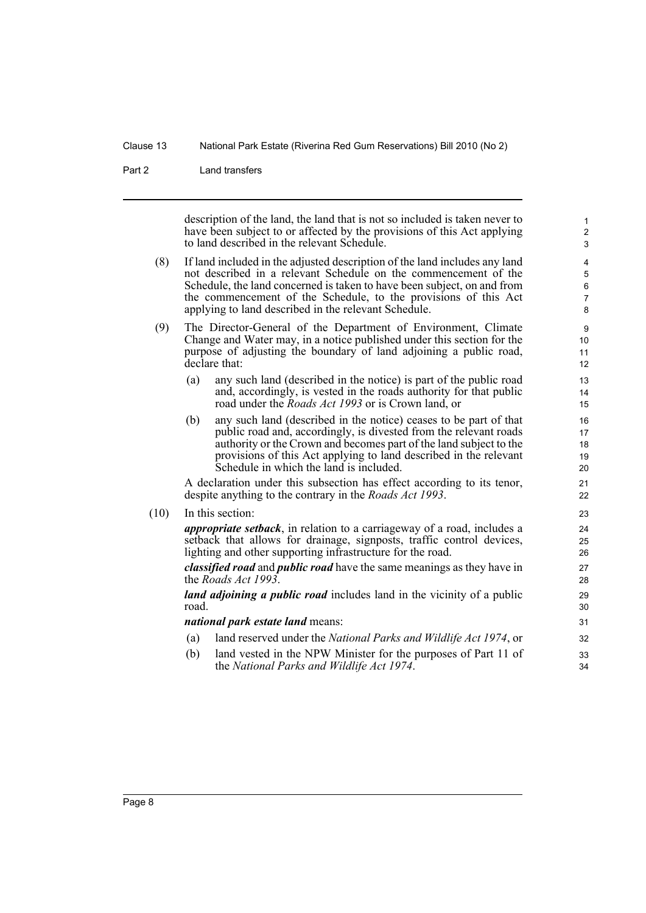Part 2 Land transfers

description of the land, the land that is not so included is taken never to have been subject to or affected by the provisions of this Act applying to land described in the relevant Schedule.

- (8) If land included in the adjusted description of the land includes any land not described in a relevant Schedule on the commencement of the Schedule, the land concerned is taken to have been subject, on and from the commencement of the Schedule, to the provisions of this Act applying to land described in the relevant Schedule.
- (9) The Director-General of the Department of Environment, Climate Change and Water may, in a notice published under this section for the purpose of adjusting the boundary of land adjoining a public road, declare that:
	- (a) any such land (described in the notice) is part of the public road and, accordingly, is vested in the roads authority for that public road under the *Roads Act 1993* or is Crown land, or
	- (b) any such land (described in the notice) ceases to be part of that public road and, accordingly, is divested from the relevant roads authority or the Crown and becomes part of the land subject to the provisions of this Act applying to land described in the relevant Schedule in which the land is included.

A declaration under this subsection has effect according to its tenor, despite anything to the contrary in the *Roads Act 1993*.

#### (10) In this section:

*appropriate setback*, in relation to a carriageway of a road, includes a setback that allows for drainage, signposts, traffic control devices, lighting and other supporting infrastructure for the road.

*classified road* and *public road* have the same meanings as they have in the *Roads Act 1993*.

*land adjoining a public road* includes land in the vicinity of a public road.

#### *national park estate land* means:

- (a) land reserved under the *National Parks and Wildlife Act 1974*, or
- (b) land vested in the NPW Minister for the purposes of Part 11 of the *National Parks and Wildlife Act 1974*.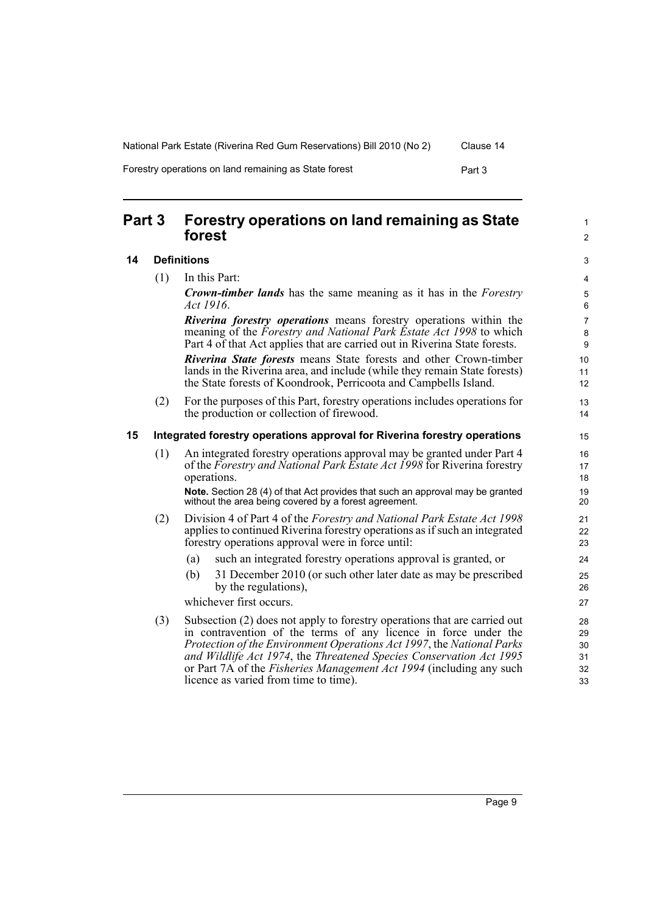Forestry operations on land remaining as State forest Forest Part 3

### <span id="page-16-0"></span>**Part 3 Forestry operations on land remaining as State forest**

#### <span id="page-16-1"></span>**14 Definitions**

(1) In this Part:

*Crown-timber lands* has the same meaning as it has in the *Forestry Act 1916*.

*Riverina forestry operations* means forestry operations within the meaning of the *Forestry and National Park Estate Act 1998* to which Part 4 of that Act applies that are carried out in Riverina State forests.

*Riverina State forests* means State forests and other Crown-timber lands in the Riverina area, and include (while they remain State forests) the State forests of Koondrook, Perricoota and Campbells Island.

(2) For the purposes of this Part, forestry operations includes operations for the production or collection of firewood.

#### <span id="page-16-2"></span>**15 Integrated forestry operations approval for Riverina forestry operations**

(1) An integrated forestry operations approval may be granted under Part 4 of the *Forestry and National Park Estate Act 1998* for Riverina forestry operations.

**Note.** Section 28 (4) of that Act provides that such an approval may be granted without the area being covered by a forest agreement.

- (2) Division 4 of Part 4 of the *Forestry and National Park Estate Act 1998* applies to continued Riverina forestry operations as if such an integrated forestry operations approval were in force until:
	- (a) such an integrated forestry operations approval is granted, or
	- (b) 31 December 2010 (or such other later date as may be prescribed by the regulations),

whichever first occurs.

(3) Subsection (2) does not apply to forestry operations that are carried out in contravention of the terms of any licence in force under the *Protection of the Environment Operations Act 1997*, the *National Parks and Wildlife Act 1974*, the *Threatened Species Conservation Act 1995* or Part 7A of the *Fisheries Management Act 1994* (including any such licence as varied from time to time).

1  $\mathfrak{p}$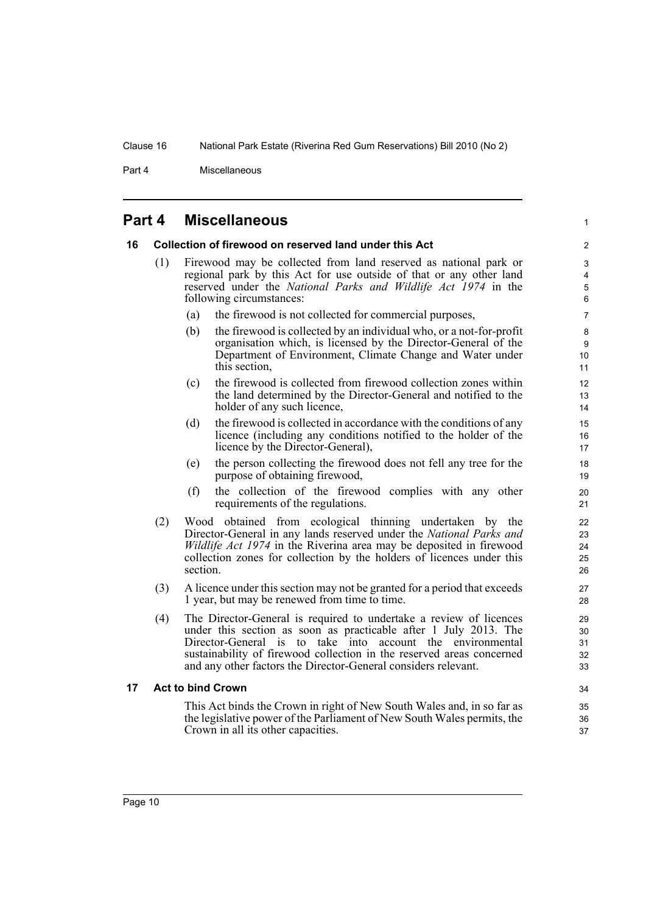Part 4 Miscellaneous

### <span id="page-17-0"></span>**Part 4 Miscellaneous**

#### <span id="page-17-1"></span>**16 Collection of firewood on reserved land under this Act**

- (1) Firewood may be collected from land reserved as national park or regional park by this Act for use outside of that or any other land reserved under the *National Parks and Wildlife Act 1974* in the following circumstances:
	- (a) the firewood is not collected for commercial purposes,
	- (b) the firewood is collected by an individual who, or a not-for-profit organisation which, is licensed by the Director-General of the Department of Environment, Climate Change and Water under this section,

1

- (c) the firewood is collected from firewood collection zones within the land determined by the Director-General and notified to the holder of any such licence,
- (d) the firewood is collected in accordance with the conditions of any licence (including any conditions notified to the holder of the licence by the Director-General),
- (e) the person collecting the firewood does not fell any tree for the purpose of obtaining firewood,
- (f) the collection of the firewood complies with any other requirements of the regulations.
- (2) Wood obtained from ecological thinning undertaken by the Director-General in any lands reserved under the *National Parks and Wildlife Act 1974* in the Riverina area may be deposited in firewood collection zones for collection by the holders of licences under this section.
- (3) A licence under this section may not be granted for a period that exceeds 1 year, but may be renewed from time to time.
- (4) The Director-General is required to undertake a review of licences under this section as soon as practicable after 1 July 2013. The Director-General is to take into account the environmental sustainability of firewood collection in the reserved areas concerned and any other factors the Director-General considers relevant.

#### <span id="page-17-2"></span>**17 Act to bind Crown**

This Act binds the Crown in right of New South Wales and, in so far as the legislative power of the Parliament of New South Wales permits, the Crown in all its other capacities.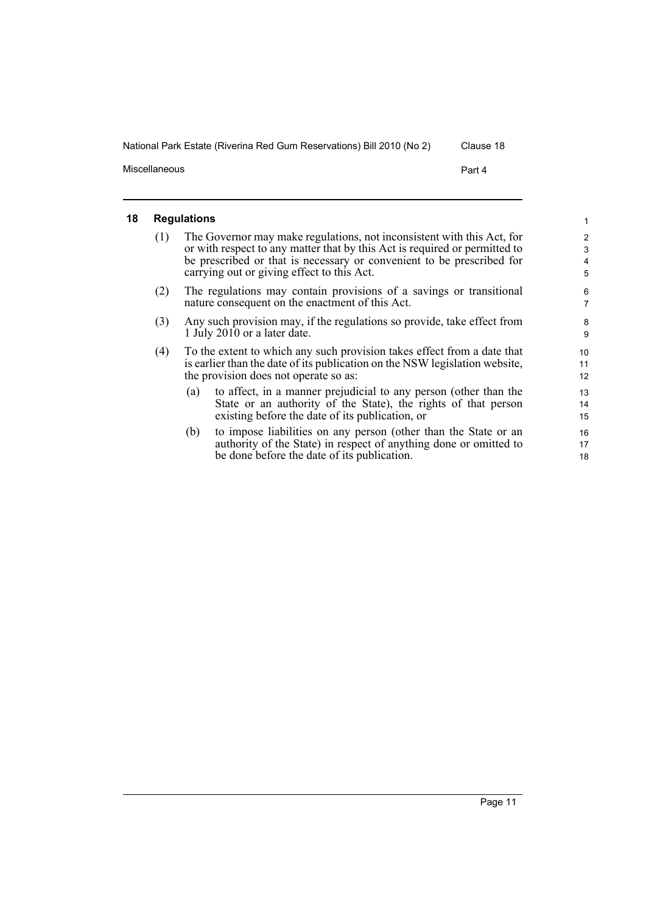Miscellaneous **Part 4** 

<span id="page-18-0"></span>**18 Regulations** (1) The Governor may make regulations, not inconsistent with this Act, for or with respect to any matter that by this Act is required or permitted to be prescribed or that is necessary or convenient to be prescribed for carrying out or giving effect to this Act. (2) The regulations may contain provisions of a savings or transitional nature consequent on the enactment of this Act. (3) Any such provision may, if the regulations so provide, take effect from 1 July 2010 or a later date. (4) To the extent to which any such provision takes effect from a date that is earlier than the date of its publication on the NSW legislation website, the provision does not operate so as: (a) to affect, in a manner prejudicial to any person (other than the State or an authority of the State), the rights of that person existing before the date of its publication, or (b) to impose liabilities on any person (other than the State or an authority of the State) in respect of anything done or omitted to be done before the date of its publication. 1 2 3 4 5 6 7 8 9 10 11 12 13 14 15 16 17 18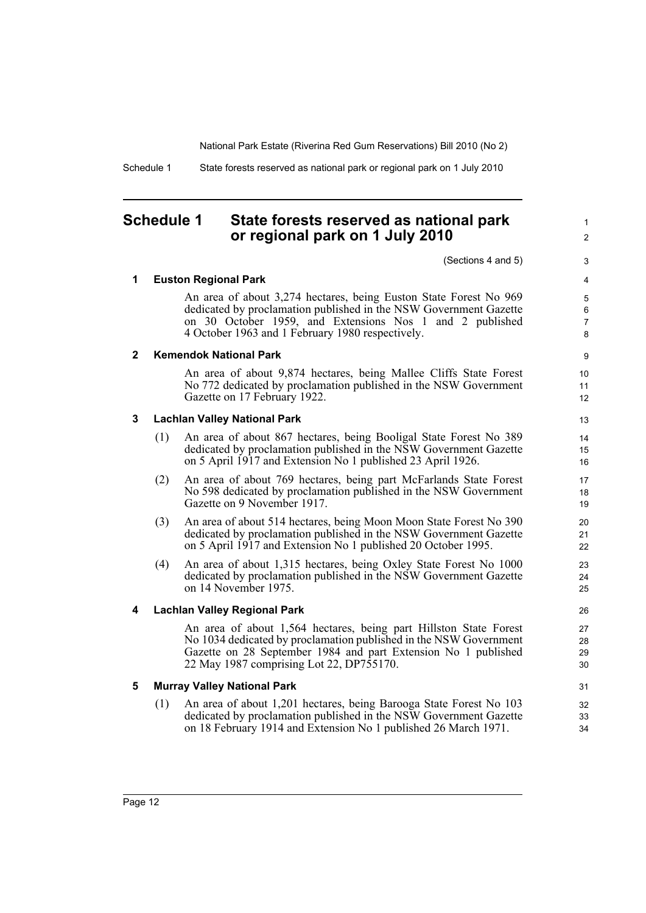Schedule 1 State forests reserved as national park or regional park on 1 July 2010

### <span id="page-19-0"></span>**Schedule 1 State forests reserved as national park or regional park on 1 July 2010**

(Sections 4 and 5)

1  $\mathfrak{p}$ 

#### **1 Euston Regional Park**

An area of about 3,274 hectares, being Euston State Forest No 969 dedicated by proclamation published in the NSW Government Gazette on 30 October 1959, and Extensions Nos 1 and 2 published 4 October 1963 and 1 February 1980 respectively.

#### **2 Kemendok National Park**

An area of about 9,874 hectares, being Mallee Cliffs State Forest No 772 dedicated by proclamation published in the NSW Government Gazette on 17 February 1922.

#### **3 Lachlan Valley National Park**

- (1) An area of about 867 hectares, being Booligal State Forest No 389 dedicated by proclamation published in the NSW Government Gazette on 5 April 1917 and Extension No 1 published 23 April 1926.
- (2) An area of about 769 hectares, being part McFarlands State Forest No 598 dedicated by proclamation published in the NSW Government Gazette on 9 November 1917.
- (3) An area of about 514 hectares, being Moon Moon State Forest No 390 dedicated by proclamation published in the NSW Government Gazette on 5 April 1917 and Extension No 1 published 20 October 1995.
- (4) An area of about 1,315 hectares, being Oxley State Forest No 1000 dedicated by proclamation published in the NSW Government Gazette on 14 November 1975.

#### **4 Lachlan Valley Regional Park**

An area of about 1,564 hectares, being part Hillston State Forest No 1034 dedicated by proclamation published in the NSW Government Gazette on 28 September 1984 and part Extension No 1 published 22 May 1987 comprising Lot 22, DP755170.

#### **5 Murray Valley National Park**

(1) An area of about 1,201 hectares, being Barooga State Forest No 103 dedicated by proclamation published in the NSW Government Gazette on 18 February 1914 and Extension No 1 published 26 March 1971.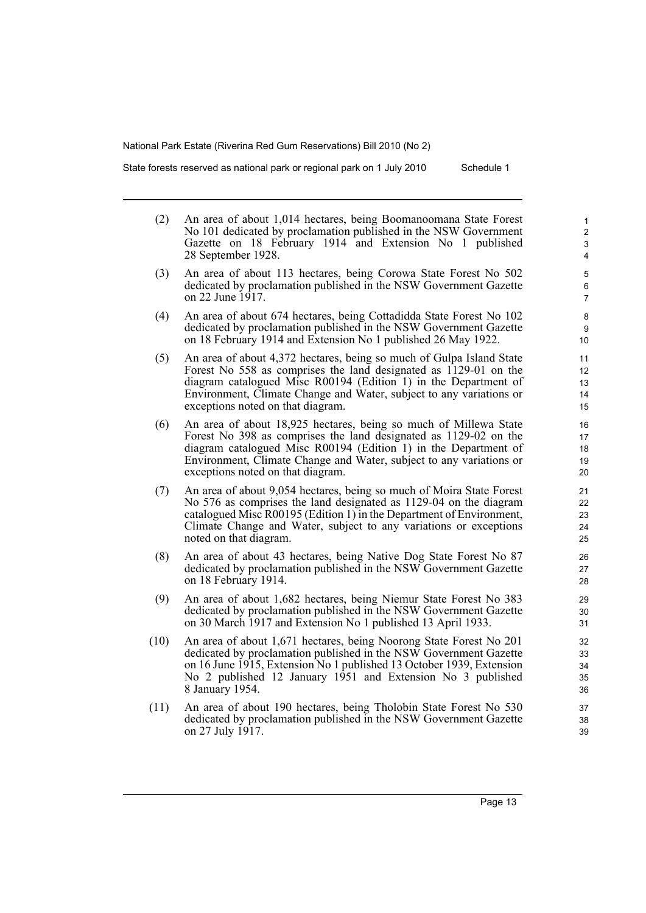State forests reserved as national park or regional park on 1 July 2010 Schedule 1

- (2) An area of about 1,014 hectares, being Boomanoomana State Forest No 101 dedicated by proclamation published in the NSW Government Gazette on 18 February 1914 and Extension No 1 published 28 September 1928.
- (3) An area of about 113 hectares, being Corowa State Forest No 502 dedicated by proclamation published in the NSW Government Gazette on 22 June 1917.
- (4) An area of about 674 hectares, being Cottadidda State Forest No 102 dedicated by proclamation published in the NSW Government Gazette on 18 February 1914 and Extension No 1 published 26 May 1922.
- (5) An area of about 4,372 hectares, being so much of Gulpa Island State Forest No 558 as comprises the land designated as 1129-01 on the diagram catalogued Misc R00194 (Edition 1) in the Department of Environment, Climate Change and Water, subject to any variations or exceptions noted on that diagram.
- (6) An area of about 18,925 hectares, being so much of Millewa State Forest No 398 as comprises the land designated as 1129-02 on the diagram catalogued Misc R00194 (Edition 1) in the Department of Environment, Climate Change and Water, subject to any variations or exceptions noted on that diagram.
- (7) An area of about 9,054 hectares, being so much of Moira State Forest No 576 as comprises the land designated as 1129-04 on the diagram catalogued Misc R00195 (Edition 1) in the Department of Environment, Climate Change and Water, subject to any variations or exceptions noted on that diagram.
- (8) An area of about 43 hectares, being Native Dog State Forest No 87 dedicated by proclamation published in the NSW Government Gazette on 18 February 1914.
- (9) An area of about 1,682 hectares, being Niemur State Forest No 383 dedicated by proclamation published in the NSW Government Gazette on 30 March 1917 and Extension No 1 published 13 April 1933.
- (10) An area of about 1,671 hectares, being Noorong State Forest No 201 dedicated by proclamation published in the NSW Government Gazette on 16 June 1915, Extension No 1 published 13 October 1939, Extension No 2 published 12 January 1951 and Extension No 3 published 8 January 1954.
- (11) An area of about 190 hectares, being Tholobin State Forest No 530 dedicated by proclamation published in the NSW Government Gazette on 27 July 1917.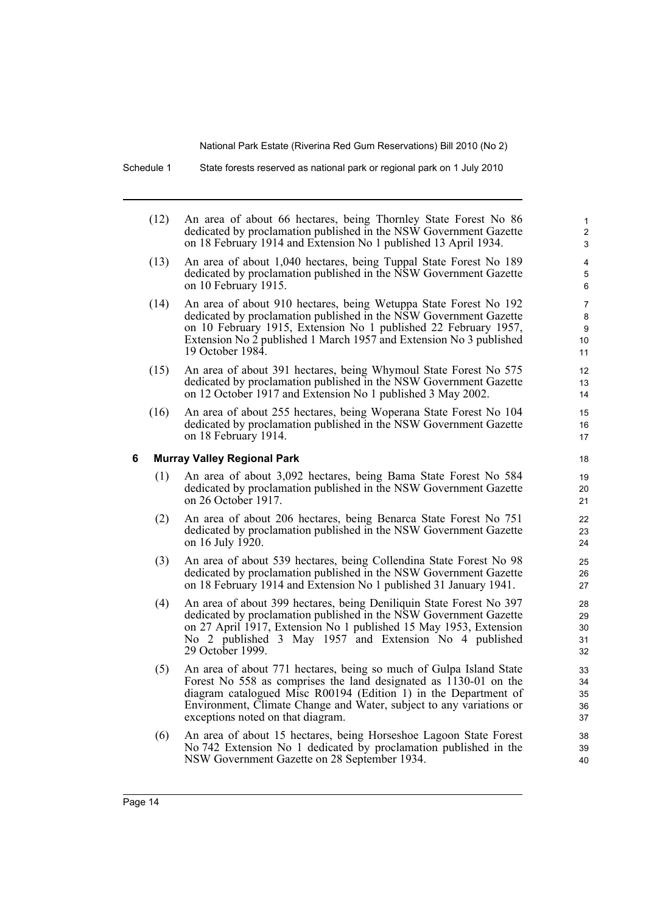Schedule 1 State forests reserved as national park or regional park on 1 July 2010

- (12) An area of about 66 hectares, being Thornley State Forest No 86 dedicated by proclamation published in the NSW Government Gazette on 18 February 1914 and Extension No 1 published 13 April 1934.
- (13) An area of about 1,040 hectares, being Tuppal State Forest No 189 dedicated by proclamation published in the NSW Government Gazette on 10 February 1915.
- (14) An area of about 910 hectares, being Wetuppa State Forest No 192 dedicated by proclamation published in the NSW Government Gazette on 10 February 1915, Extension No 1 published 22 February 1957, Extension No 2 published 1 March 1957 and Extension No 3 published 19 October 1984.
- (15) An area of about 391 hectares, being Whymoul State Forest No 575 dedicated by proclamation published in the NSW Government Gazette on 12 October 1917 and Extension No 1 published 3 May 2002.
- (16) An area of about 255 hectares, being Woperana State Forest No 104 dedicated by proclamation published in the NSW Government Gazette on 18 February 1914.

### **6 Murray Valley Regional Park**

- (1) An area of about 3,092 hectares, being Bama State Forest No 584 dedicated by proclamation published in the NSW Government Gazette on 26 October 1917.
- (2) An area of about 206 hectares, being Benarca State Forest No 751 dedicated by proclamation published in the NSW Government Gazette on 16 July 1920.
- (3) An area of about 539 hectares, being Collendina State Forest No 98 dedicated by proclamation published in the NSW Government Gazette on 18 February 1914 and Extension No 1 published 31 January 1941.
- (4) An area of about 399 hectares, being Deniliquin State Forest No 397 dedicated by proclamation published in the NSW Government Gazette on 27 April 1917, Extension No 1 published 15 May 1953, Extension No 2 published 3 May 1957 and Extension No 4 published 29 October 1999.
- (5) An area of about 771 hectares, being so much of Gulpa Island State Forest No 558 as comprises the land designated as  $1130-01$  on the diagram catalogued Misc R00194 (Edition 1) in the Department of Environment, Climate Change and Water, subject to any variations or exceptions noted on that diagram.
- (6) An area of about 15 hectares, being Horseshoe Lagoon State Forest No 742 Extension No 1 dedicated by proclamation published in the NSW Government Gazette on 28 September 1934.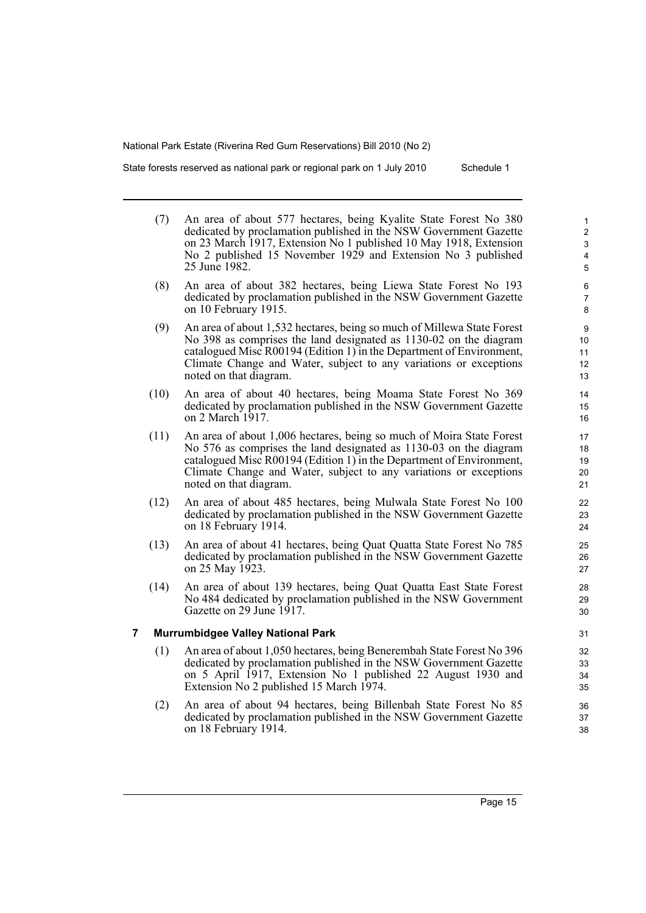State forests reserved as national park or regional park on 1 July 2010

| Schedule 1 |  |  |
|------------|--|--|
|------------|--|--|

- (7) An area of about 577 hectares, being Kyalite State Forest No 380 dedicated by proclamation published in the NSW Government Gazette on 23 March 1917, Extension No 1 published 10 May 1918, Extension No 2 published 15 November 1929 and Extension No 3 published 25 June 1982. (8) An area of about 382 hectares, being Liewa State Forest No 193 dedicated by proclamation published in the NSW Government Gazette on 10 February 1915. (9) An area of about 1,532 hectares, being so much of Millewa State Forest No 398 as comprises the land designated as 1130-02 on the diagram catalogued Misc R00194 (Edition 1) in the Department of Environment, Climate Change and Water, subject to any variations or exceptions noted on that diagram. (10) An area of about 40 hectares, being Moama State Forest No 369 dedicated by proclamation published in the NSW Government Gazette on 2 March 1917. (11) An area of about 1,006 hectares, being so much of Moira State Forest No 576 as comprises the land designated as 1130-03 on the diagram catalogued Misc R00194 (Edition 1) in the Department of Environment, Climate Change and Water, subject to any variations or exceptions noted on that diagram. (12) An area of about 485 hectares, being Mulwala State Forest No 100 dedicated by proclamation published in the NSW Government Gazette on 18 February 1914. (13) An area of about 41 hectares, being Quat Quatta State Forest No 785 dedicated by proclamation published in the NSW Government Gazette on 25 May 1923. (14) An area of about 139 hectares, being Quat Quatta East State Forest No 484 dedicated by proclamation published in the NSW Government Gazette on 29 June 1917. **7 Murrumbidgee Valley National Park** (1) An area of about 1,050 hectares, being Benerembah State Forest No 396 dedicated by proclamation published in the NSW Government Gazette on 5 April 1917, Extension No 1 published 22 August 1930 and Extension No 2 published 15 March 1974.
	- (2) An area of about 94 hectares, being Billenbah State Forest No 85 dedicated by proclamation published in the NSW Government Gazette on 18 February 1914.

Page 15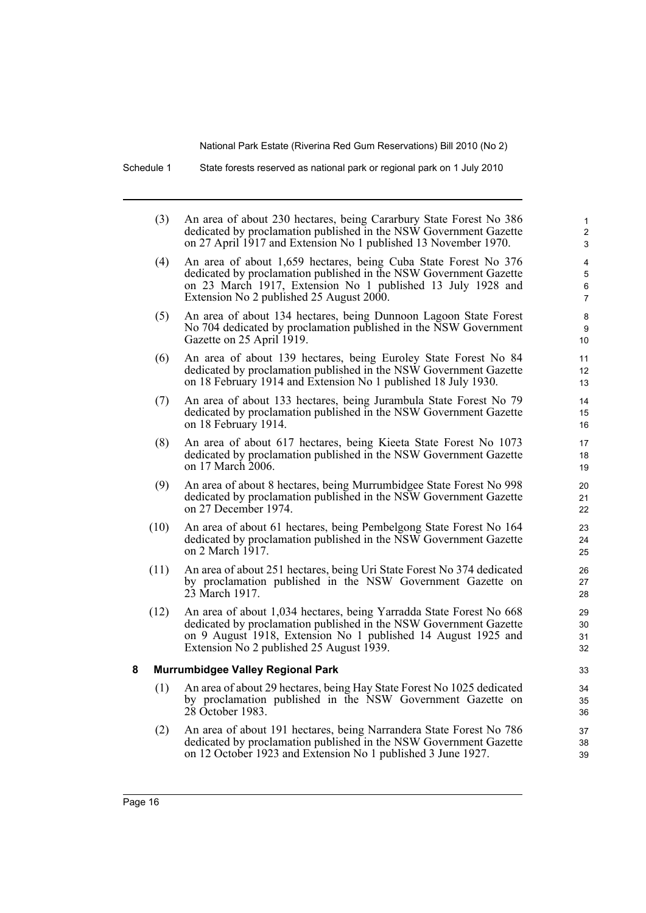Schedule 1 State forests reserved as national park or regional park on 1 July 2010

|   | (3)  | An area of about 230 hectares, being Cararbury State Forest No 386<br>dedicated by proclamation published in the NSW Government Gazette<br>on 27 April 1917 and Extension No 1 published 13 November 1970.                                            | $\mathbf{1}$<br>2<br>3        |
|---|------|-------------------------------------------------------------------------------------------------------------------------------------------------------------------------------------------------------------------------------------------------------|-------------------------------|
|   | (4)  | An area of about 1,659 hectares, being Cuba State Forest No 376<br>dedicated by proclamation published in the NSW Government Gazette<br>on 23 March 1917, Extension No 1 published 13 July 1928 and<br>Extension No 2 published 25 August 2000.       | 4<br>5<br>6<br>$\overline{7}$ |
|   | (5)  | An area of about 134 hectares, being Dunnoon Lagoon State Forest<br>No 704 dedicated by proclamation published in the NSW Government<br>Gazette on 25 April 1919.                                                                                     | 8<br>9<br>10                  |
|   | (6)  | An area of about 139 hectares, being Euroley State Forest No 84<br>dedicated by proclamation published in the NSW Government Gazette<br>on 18 February 1914 and Extension No 1 published 18 July 1930.                                                | 11<br>12<br>13                |
|   | (7)  | An area of about 133 hectares, being Jurambula State Forest No 79<br>dedicated by proclamation published in the NSW Government Gazette<br>on 18 February 1914.                                                                                        | 14<br>15<br>16                |
|   | (8)  | An area of about 617 hectares, being Kieeta State Forest No 1073<br>dedicated by proclamation published in the NSW Government Gazette<br>on 17 March 2006.                                                                                            | 17<br>18<br>19                |
|   | (9)  | An area of about 8 hectares, being Murrumbidgee State Forest No 998<br>dedicated by proclamation published in the NSW Government Gazette<br>on 27 December 1974.                                                                                      | 20<br>21<br>22                |
|   | (10) | An area of about 61 hectares, being Pembelgong State Forest No 164<br>dedicated by proclamation published in the NSW Government Gazette<br>on 2 March 1917.                                                                                           | 23<br>24<br>25                |
|   | (11) | An area of about 251 hectares, being Uri State Forest No 374 dedicated<br>by proclamation published in the NSW Government Gazette on<br>23 March 1917.                                                                                                | 26<br>27<br>28                |
|   | (12) | An area of about 1,034 hectares, being Yarradda State Forest No 668<br>dedicated by proclamation published in the NSW Government Gazette<br>on 9 August 1918, Extension No 1 published 14 August 1925 and<br>Extension No 2 published 25 August 1939. | 29<br>30<br>31<br>32          |
| 8 |      | Murrumbidgee Valley Regional Park                                                                                                                                                                                                                     | 33                            |
|   | (1)  | An area of about 29 hectares, being Hay State Forest No 1025 dedicated<br>by proclamation published in the NSW Government Gazette on<br>28 October 1983.                                                                                              | 34<br>35<br>36                |
|   | (2)  | An area of about 191 hectares, being Narrandera State Forest No 786<br>dedicated by proclamation published in the NSW Government Gazette<br>on 12 October 1923 and Extension No 1 published 3 June 1927.                                              | 37<br>38<br>39                |
|   |      |                                                                                                                                                                                                                                                       |                               |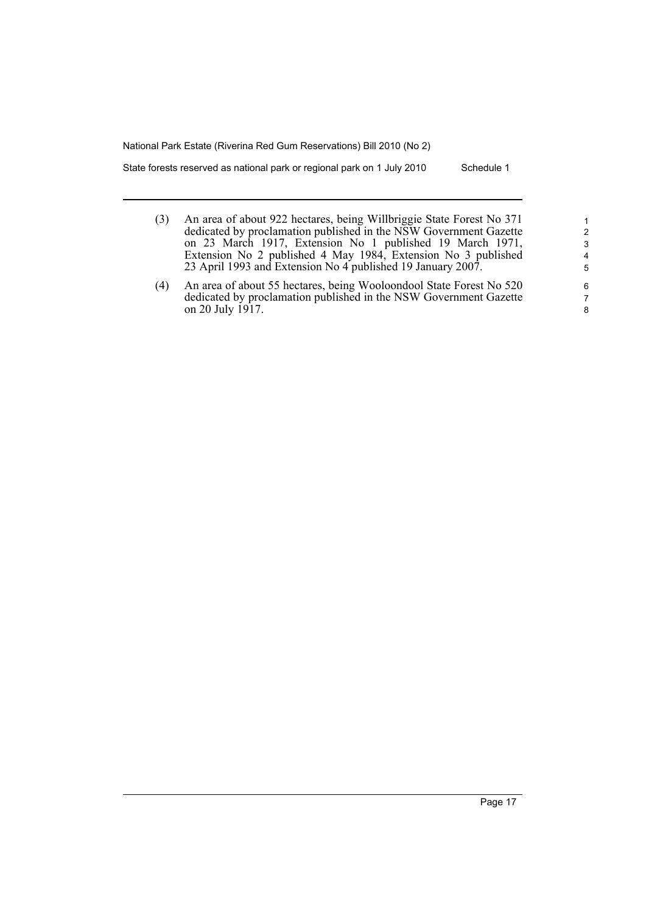State forests reserved as national park or regional park on 1 July 2010 Schedule 1

- (3) An area of about 922 hectares, being Willbriggie State Forest No 371 dedicated by proclamation published in the NSW Government Gazette on 23 March 1917, Extension No 1 published 19 March 1971, Extension No 2 published 4 May 1984, Extension No 3 published 23 April 1993 and Extension No 4 published 19 January 2007.
- (4) An area of about 55 hectares, being Wooloondool State Forest No 520 dedicated by proclamation published in the NSW Government Gazette on 20 July 1917.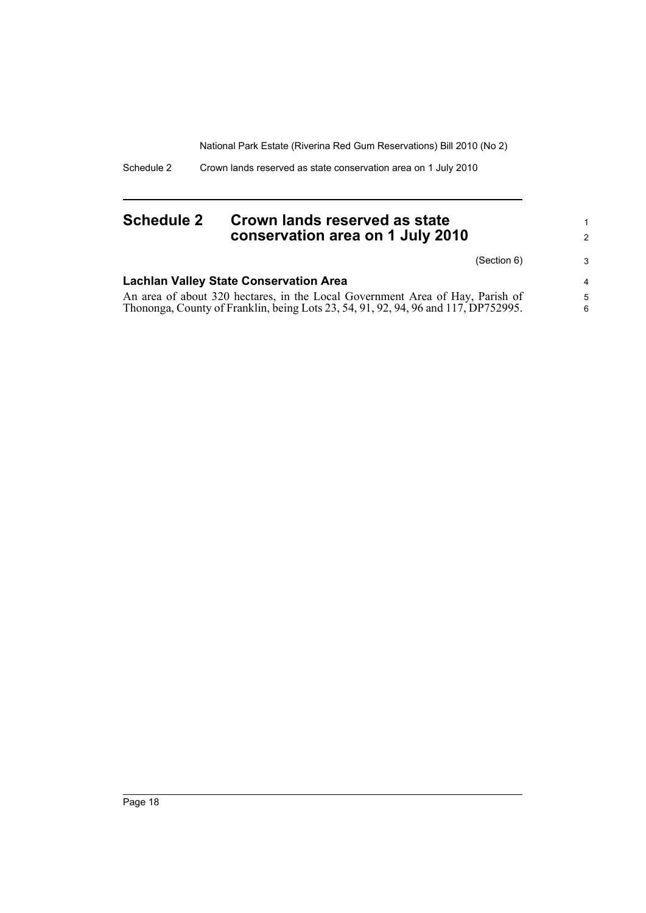Schedule 2 Crown lands reserved as state conservation area on 1 July 2010

### <span id="page-25-0"></span>**Schedule 2 Crown lands reserved as state conservation area on 1 July 2010**

(Section 6)

1 2

| <b>Lachlan Valley State Conservation Area</b>                                      |   |
|------------------------------------------------------------------------------------|---|
| An area of about 320 hectares, in the Local Government Area of Hay, Parish of      |   |
| Thononga, County of Franklin, being Lots 23, 54, 91, 92, 94, 96 and 117, DP752995. | 6 |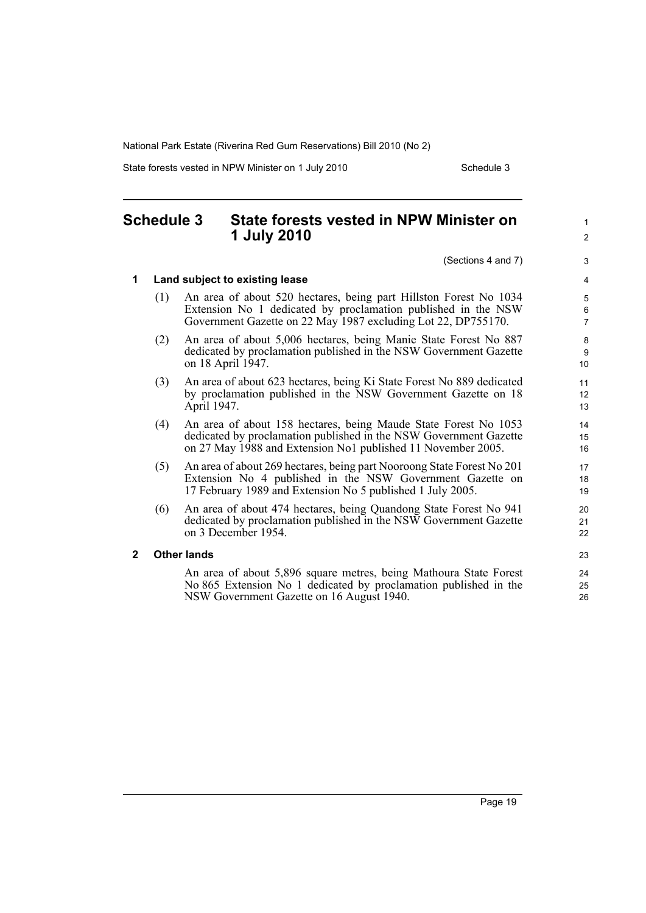State forests vested in NPW Minister on 1 July 2010 Schedule 3

1  $\mathfrak{p}$ 

#### <span id="page-26-0"></span>**Schedule 3 State forests vested in NPW Minister on 1 July 2010** (Sections 4 and 7) **1 Land subject to existing lease** (1) An area of about 520 hectares, being part Hillston Forest No 1034 Extension No 1 dedicated by proclamation published in the NSW Government Gazette on 22 May 1987 excluding Lot 22, DP755170. (2) An area of about 5,006 hectares, being Manie State Forest No 887 dedicated by proclamation published in the NSW Government Gazette on 18 April 1947. (3) An area of about 623 hectares, being Ki State Forest No 889 dedicated by proclamation published in the NSW Government Gazette on 18 April 1947. (4) An area of about 158 hectares, being Maude State Forest No 1053 dedicated by proclamation published in the NSW Government Gazette on 27 May 1988 and Extension No1 published 11 November 2005. (5) An area of about 269 hectares, being part Nooroong State Forest No 201 Extension No 4 published in the NSW Government Gazette on 17 February 1989 and Extension No 5 published 1 July 2005. (6) An area of about 474 hectares, being Quandong State Forest No 941 dedicated by proclamation published in the NSW Government Gazette on 3 December 1954. **2 Other lands** An area of about 5,896 square metres, being Mathoura State Forest No 865 Extension No 1 dedicated by proclamation published in the NSW Government Gazette on 16 August 1940. 10 11 12 13 14 15 16 17 18 19  $20$ 21 22  $23$  $24$ 25 26

Page 19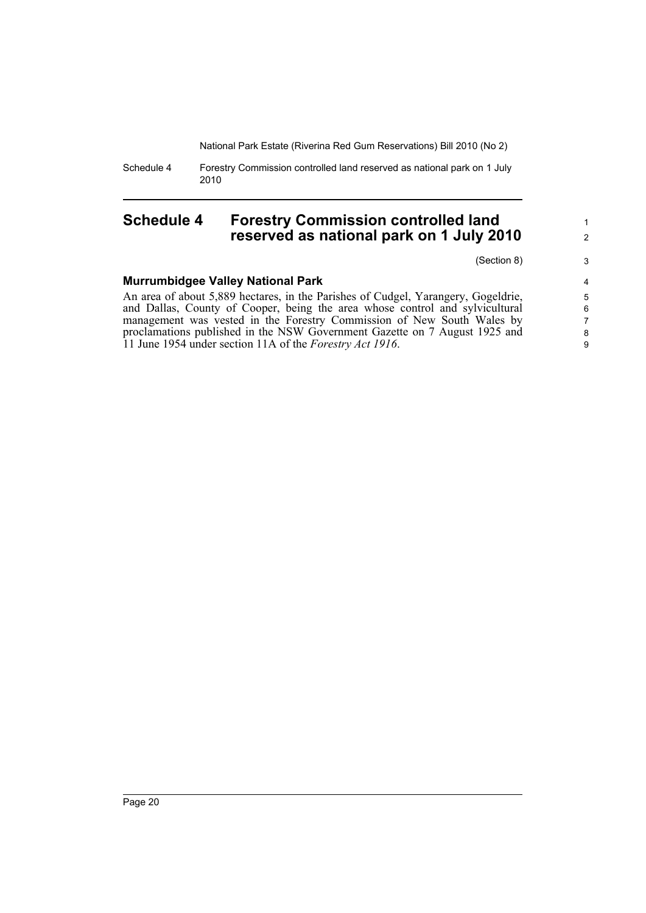Schedule 4 Forestry Commission controlled land reserved as national park on 1 July 2010

### <span id="page-27-0"></span>**Schedule 4 Forestry Commission controlled land reserved as national park on 1 July 2010**

(Section 8)

1 2

#### **Murrumbidgee Valley National Park**

An area of about 5,889 hectares, in the Parishes of Cudgel, Yarangery, Gogeldrie, and Dallas, County of Cooper, being the area whose control and sylvicultural management was vested in the Forestry Commission of New South Wales by proclamations published in the NSW Government Gazette on 7 August 1925 and 11 June 1954 under section 11A of the *Forestry Act 1916*.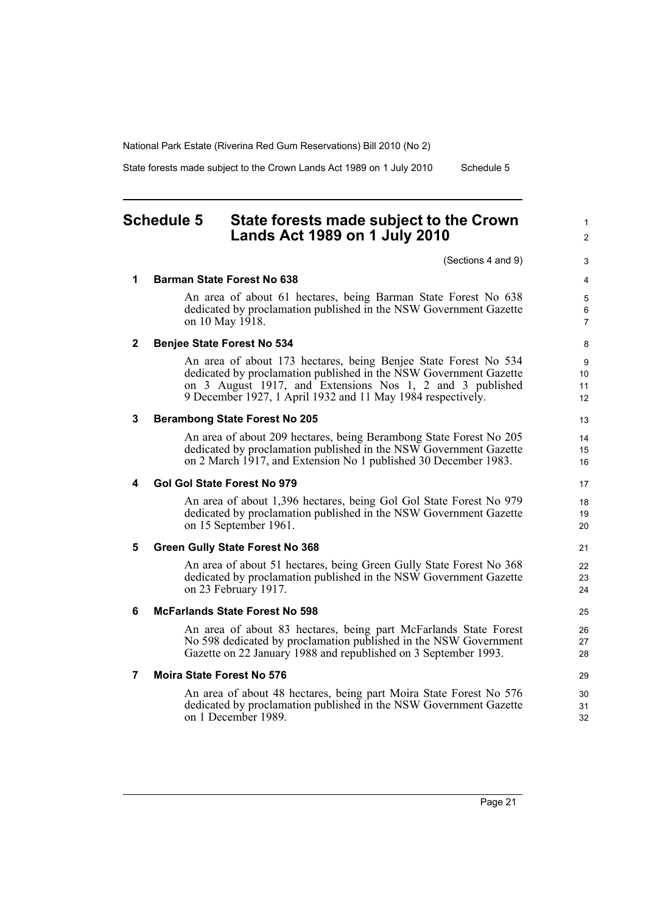State forests made subject to the Crown Lands Act 1989 on 1 July 2010 Schedule 5

### <span id="page-28-0"></span>**Schedule 5 State forests made subject to the Crown Lands Act 1989 on 1 July 2010**

(Sections 4 and 9)

#### **1 Barman State Forest No 638**

An area of about 61 hectares, being Barman State Forest No 638 dedicated by proclamation published in the NSW Government Gazette on 10 May 1918.

#### **2 Benjee State Forest No 534**

An area of about 173 hectares, being Benjee State Forest No 534 dedicated by proclamation published in the NSW Government Gazette on 3 August 1917, and Extensions Nos 1, 2 and 3 published 9 December 1927, 1 April 1932 and 11 May 1984 respectively.

#### **3 Berambong State Forest No 205**

An area of about 209 hectares, being Berambong State Forest No 205 dedicated by proclamation published in the NSW Government Gazette on 2 March 1917, and Extension No 1 published 30 December 1983.

#### **4 Gol Gol State Forest No 979**

An area of about 1,396 hectares, being Gol Gol State Forest No 979 dedicated by proclamation published in the NSW Government Gazette on 15 September 1961.

#### **5 Green Gully State Forest No 368**

An area of about 51 hectares, being Green Gully State Forest No 368 dedicated by proclamation published in the NSW Government Gazette on 23 February 1917.

#### **6 McFarlands State Forest No 598**

An area of about 83 hectares, being part McFarlands State Forest No 598 dedicated by proclamation published in the NSW Government Gazette on 22 January 1988 and republished on 3 September 1993.

#### **7 Moira State Forest No 576**

An area of about 48 hectares, being part Moira State Forest No 576 dedicated by proclamation published in the NSW Government Gazette on 1 December 1989.

7 8  $\overline{Q}$ 

10 11 12

1  $\mathfrak{p}$ 

17 18

19 20

21 22

23 24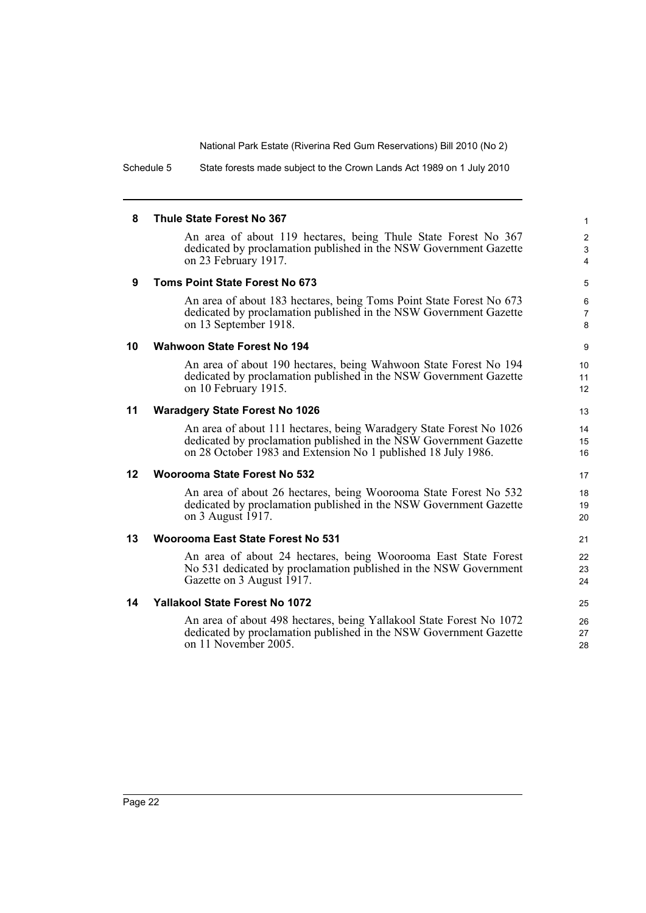Schedule 5 State forests made subject to the Crown Lands Act 1989 on 1 July 2010

#### **8 Thule State Forest No 367**

An area of about 119 hectares, being Thule State Forest No 367 dedicated by proclamation published in the NSW Government Gazette on 23 February 1917.

#### **9 Toms Point State Forest No 673**

An area of about 183 hectares, being Toms Point State Forest No 673 dedicated by proclamation published in the NSW Government Gazette on 13 September 1918.

#### **10 Wahwoon State Forest No 194**

An area of about 190 hectares, being Wahwoon State Forest No 194 dedicated by proclamation published in the NSW Government Gazette on 10 February 1915.

#### **11 Waradgery State Forest No 1026**

An area of about 111 hectares, being Waradgery State Forest No 1026 dedicated by proclamation published in the NSW Government Gazette on 28 October 1983 and Extension No 1 published 18 July 1986.

#### **12 Woorooma State Forest No 532**

An area of about 26 hectares, being Woorooma State Forest No 532 dedicated by proclamation published in the NSW Government Gazette on 3 August 1917.

#### **13 Woorooma East State Forest No 531**

An area of about 24 hectares, being Woorooma East State Forest No 531 dedicated by proclamation published in the NSW Government Gazette on 3 August 1917.

#### **14 Yallakool State Forest No 1072**

An area of about 498 hectares, being Yallakool State Forest No 1072 dedicated by proclamation published in the NSW Government Gazette on 11 November 2005.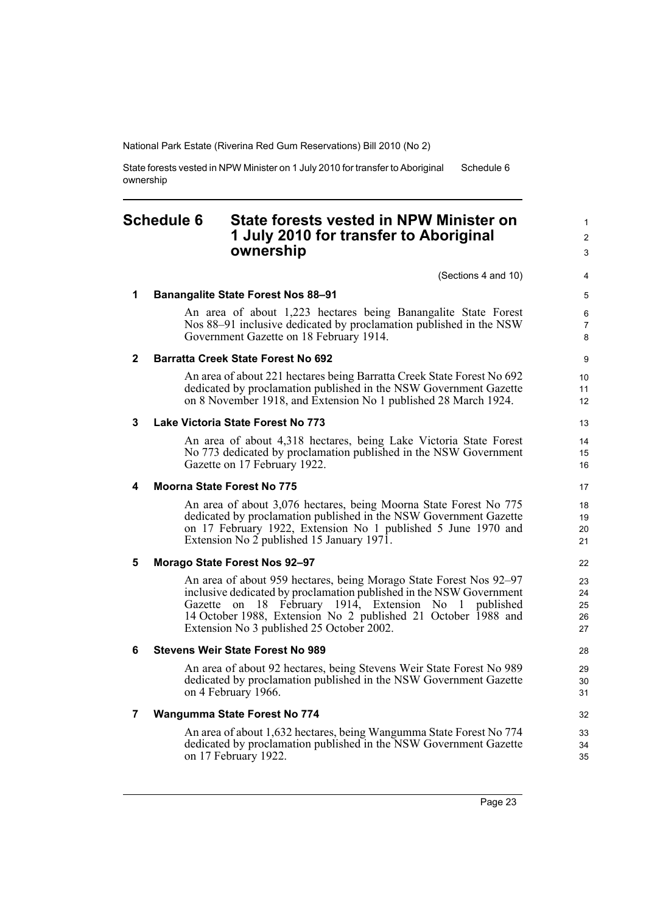State forests vested in NPW Minister on 1 July 2010 for transfer to Aboriginal ownership Schedule 6

### <span id="page-30-0"></span>**Schedule 6 State forests vested in NPW Minister on 1 July 2010 for transfer to Aboriginal ownership**

(Sections 4 and 10)

1  $\mathfrak{p}$ 3

#### **1 Banangalite State Forest Nos 88–91**

An area of about 1,223 hectares being Banangalite State Forest Nos 88–91 inclusive dedicated by proclamation published in the NSW Government Gazette on 18 February 1914.

#### **2 Barratta Creek State Forest No 692**

An area of about 221 hectares being Barratta Creek State Forest No 692 dedicated by proclamation published in the NSW Government Gazette on 8 November 1918, and Extension No 1 published 28 March 1924.

#### **3 Lake Victoria State Forest No 773**

An area of about 4,318 hectares, being Lake Victoria State Forest No 773 dedicated by proclamation published in the NSW Government Gazette on 17 February 1922.

#### **4 Moorna State Forest No 775**

An area of about 3,076 hectares, being Moorna State Forest No 775 dedicated by proclamation published in the NSW Government Gazette on 17 February 1922, Extension No 1 published 5 June 1970 and Extension No 2 published 15 January 1971.

#### **5 Morago State Forest Nos 92–97**

An area of about 959 hectares, being Morago State Forest Nos 92–97 inclusive dedicated by proclamation published in the NSW Government Gazette on 18 February 1914, Extension No 1 published 14 October 1988, Extension No 2 published 21 October 1988 and Extension No 3 published 25 October 2002.

#### **6 Stevens Weir State Forest No 989**

An area of about 92 hectares, being Stevens Weir State Forest No 989 dedicated by proclamation published in the NSW Government Gazette on 4 February 1966.

#### **7 Wangumma State Forest No 774**

An area of about 1,632 hectares, being Wangumma State Forest No 774 dedicated by proclamation published in the NSW Government Gazette on 17 February 1922.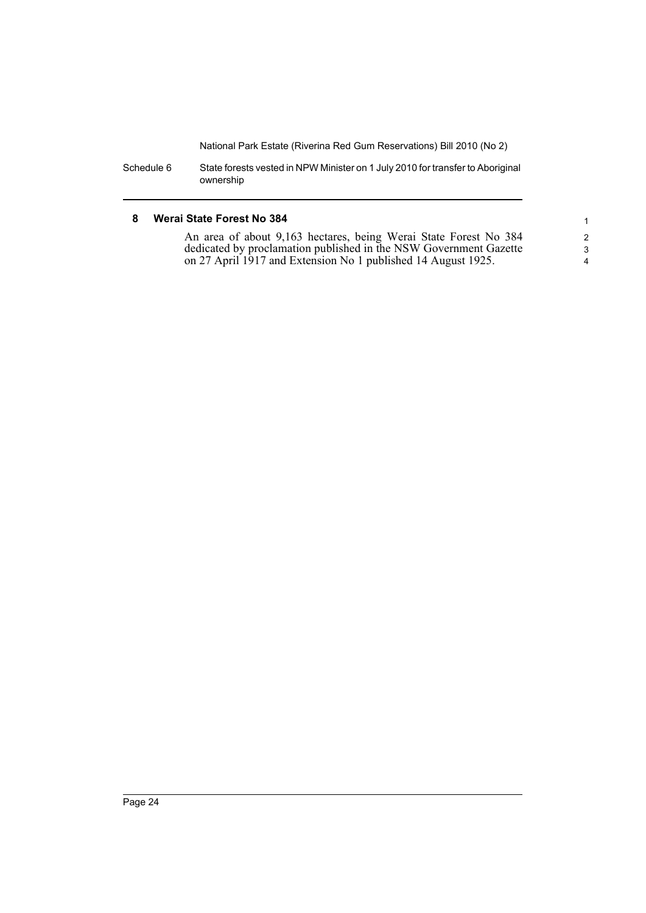Schedule 6 State forests vested in NPW Minister on 1 July 2010 for transfer to Aboriginal ownership

#### **8 Werai State Forest No 384**

An area of about 9,163 hectares, being Werai State Forest No 384 dedicated by proclamation published in the NSW Government Gazette on 27 April 1917 and Extension No 1 published 14 August 1925.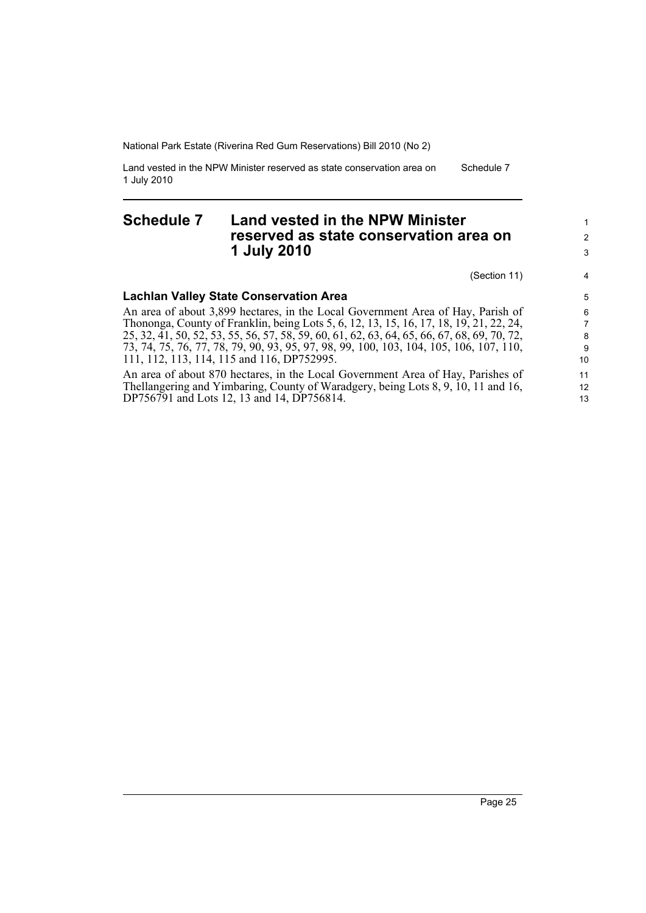Land vested in the NPW Minister reserved as state conservation area on 1 July 2010 Schedule 7

### <span id="page-32-0"></span>**Schedule 7 Land vested in the NPW Minister reserved as state conservation area on 1 July 2010**

(Section 11)

#### **Lachlan Valley State Conservation Area**

An area of about 3,899 hectares, in the Local Government Area of Hay, Parish of Thononga, County of Franklin, being Lots 5, 6, 12, 13, 15, 16, 17, 18, 19, 21, 22, 24, 25, 32, 41, 50, 52, 53, 55, 56, 57, 58, 59, 60, 61, 62, 63, 64, 65, 66, 67, 68, 69, 70, 72, 73, 74, 75, 76, 77, 78, 79, 90, 93, 95, 97, 98, 99, 100, 103, 104, 105, 106, 107, 110, 111, 112, 113, 114, 115 and 116, DP752995.

An area of about 870 hectares, in the Local Government Area of Hay, Parishes of Thellangering and Yimbaring, County of Waradgery, being Lots 8, 9, 10, 11 and 16, DP756791 and Lots 12, 13 and 14, DP756814.



1 2 3

4 5 6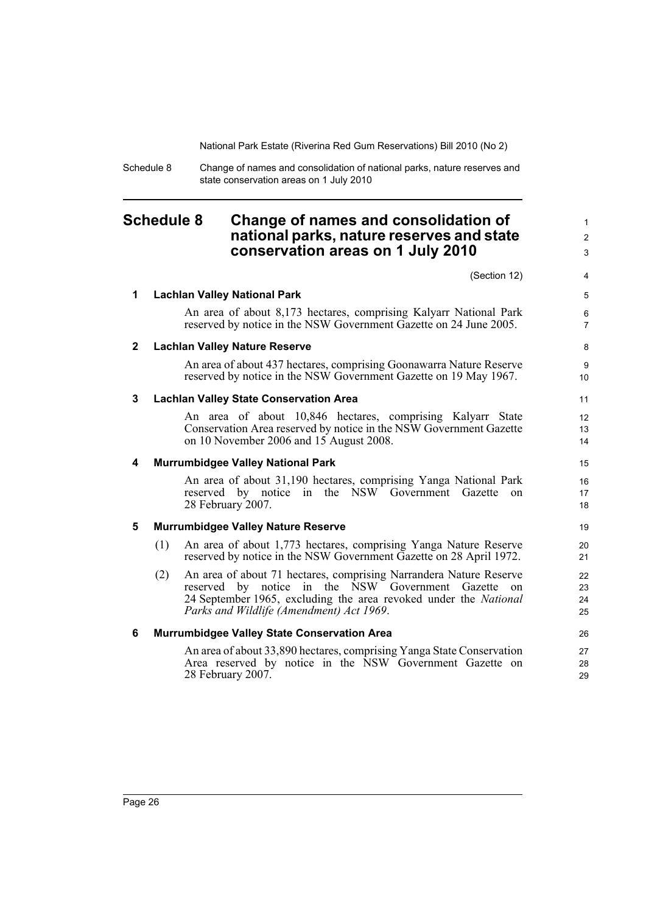1 2 3

Schedule 8 Change of names and consolidation of national parks, nature reserves and state conservation areas on 1 July 2010

### <span id="page-33-0"></span>**Schedule 8 Change of names and consolidation of national parks, nature reserves and state conservation areas on 1 July 2010**

| (Section 12)<br>1<br><b>Lachlan Valley National Park</b><br>An area of about 8,173 hectares, comprising Kalyarr National Park<br>reserved by notice in the NSW Government Gazette on 24 June 2005.<br>2<br><b>Lachlan Valley Nature Reserve</b><br>An area of about 437 hectares, comprising Goonawarra Nature Reserve<br>reserved by notice in the NSW Government Gazette on 19 May 1967.<br>3<br><b>Lachlan Valley State Conservation Area</b><br>An area of about 10,846 hectares, comprising Kalyarr State<br>Conservation Area reserved by notice in the NSW Government Gazette<br>on 10 November 2006 and 15 August 2008.<br>4<br><b>Murrumbidgee Valley National Park</b><br>An area of about 31,190 hectares, comprising Yanga National Park<br>in the NSW Government<br>reserved by notice<br>Gazette<br>on<br>28 February 2007.<br>5<br><b>Murrumbidgee Valley Nature Reserve</b><br>(1)<br>An area of about 1,773 hectares, comprising Yanga Nature Reserve<br>reserved by notice in the NSW Government Gazette on 28 April 1972.<br>An area of about 71 hectares, comprising Narrandera Nature Reserve<br>(2)<br>in the NSW Government<br>reserved by notice<br>Gazette<br>$^{on}$<br>24 September 1965, excluding the area revoked under the National<br>Parks and Wildlife (Amendment) Act 1969.<br>6<br><b>Murrumbidgee Valley State Conservation Area</b><br>An area of about 33,890 hectares, comprising Yanga State Conservation<br>Area reserved by notice in the NSW Government Gazette on<br>28 February 2007. |  |                      |
|-------------------------------------------------------------------------------------------------------------------------------------------------------------------------------------------------------------------------------------------------------------------------------------------------------------------------------------------------------------------------------------------------------------------------------------------------------------------------------------------------------------------------------------------------------------------------------------------------------------------------------------------------------------------------------------------------------------------------------------------------------------------------------------------------------------------------------------------------------------------------------------------------------------------------------------------------------------------------------------------------------------------------------------------------------------------------------------------------------------------------------------------------------------------------------------------------------------------------------------------------------------------------------------------------------------------------------------------------------------------------------------------------------------------------------------------------------------------------------------------------------------------------------------|--|----------------------|
|                                                                                                                                                                                                                                                                                                                                                                                                                                                                                                                                                                                                                                                                                                                                                                                                                                                                                                                                                                                                                                                                                                                                                                                                                                                                                                                                                                                                                                                                                                                                     |  | 4                    |
|                                                                                                                                                                                                                                                                                                                                                                                                                                                                                                                                                                                                                                                                                                                                                                                                                                                                                                                                                                                                                                                                                                                                                                                                                                                                                                                                                                                                                                                                                                                                     |  | 5                    |
|                                                                                                                                                                                                                                                                                                                                                                                                                                                                                                                                                                                                                                                                                                                                                                                                                                                                                                                                                                                                                                                                                                                                                                                                                                                                                                                                                                                                                                                                                                                                     |  | 6<br>7               |
|                                                                                                                                                                                                                                                                                                                                                                                                                                                                                                                                                                                                                                                                                                                                                                                                                                                                                                                                                                                                                                                                                                                                                                                                                                                                                                                                                                                                                                                                                                                                     |  | 8                    |
|                                                                                                                                                                                                                                                                                                                                                                                                                                                                                                                                                                                                                                                                                                                                                                                                                                                                                                                                                                                                                                                                                                                                                                                                                                                                                                                                                                                                                                                                                                                                     |  | 9<br>10              |
|                                                                                                                                                                                                                                                                                                                                                                                                                                                                                                                                                                                                                                                                                                                                                                                                                                                                                                                                                                                                                                                                                                                                                                                                                                                                                                                                                                                                                                                                                                                                     |  | 11                   |
|                                                                                                                                                                                                                                                                                                                                                                                                                                                                                                                                                                                                                                                                                                                                                                                                                                                                                                                                                                                                                                                                                                                                                                                                                                                                                                                                                                                                                                                                                                                                     |  | 12<br>13<br>14       |
|                                                                                                                                                                                                                                                                                                                                                                                                                                                                                                                                                                                                                                                                                                                                                                                                                                                                                                                                                                                                                                                                                                                                                                                                                                                                                                                                                                                                                                                                                                                                     |  | 15                   |
|                                                                                                                                                                                                                                                                                                                                                                                                                                                                                                                                                                                                                                                                                                                                                                                                                                                                                                                                                                                                                                                                                                                                                                                                                                                                                                                                                                                                                                                                                                                                     |  | 16<br>17<br>18       |
|                                                                                                                                                                                                                                                                                                                                                                                                                                                                                                                                                                                                                                                                                                                                                                                                                                                                                                                                                                                                                                                                                                                                                                                                                                                                                                                                                                                                                                                                                                                                     |  | 19                   |
|                                                                                                                                                                                                                                                                                                                                                                                                                                                                                                                                                                                                                                                                                                                                                                                                                                                                                                                                                                                                                                                                                                                                                                                                                                                                                                                                                                                                                                                                                                                                     |  | 20<br>21             |
|                                                                                                                                                                                                                                                                                                                                                                                                                                                                                                                                                                                                                                                                                                                                                                                                                                                                                                                                                                                                                                                                                                                                                                                                                                                                                                                                                                                                                                                                                                                                     |  | 22<br>23<br>24<br>25 |
|                                                                                                                                                                                                                                                                                                                                                                                                                                                                                                                                                                                                                                                                                                                                                                                                                                                                                                                                                                                                                                                                                                                                                                                                                                                                                                                                                                                                                                                                                                                                     |  | 26                   |
|                                                                                                                                                                                                                                                                                                                                                                                                                                                                                                                                                                                                                                                                                                                                                                                                                                                                                                                                                                                                                                                                                                                                                                                                                                                                                                                                                                                                                                                                                                                                     |  | 27<br>28<br>29       |
|                                                                                                                                                                                                                                                                                                                                                                                                                                                                                                                                                                                                                                                                                                                                                                                                                                                                                                                                                                                                                                                                                                                                                                                                                                                                                                                                                                                                                                                                                                                                     |  |                      |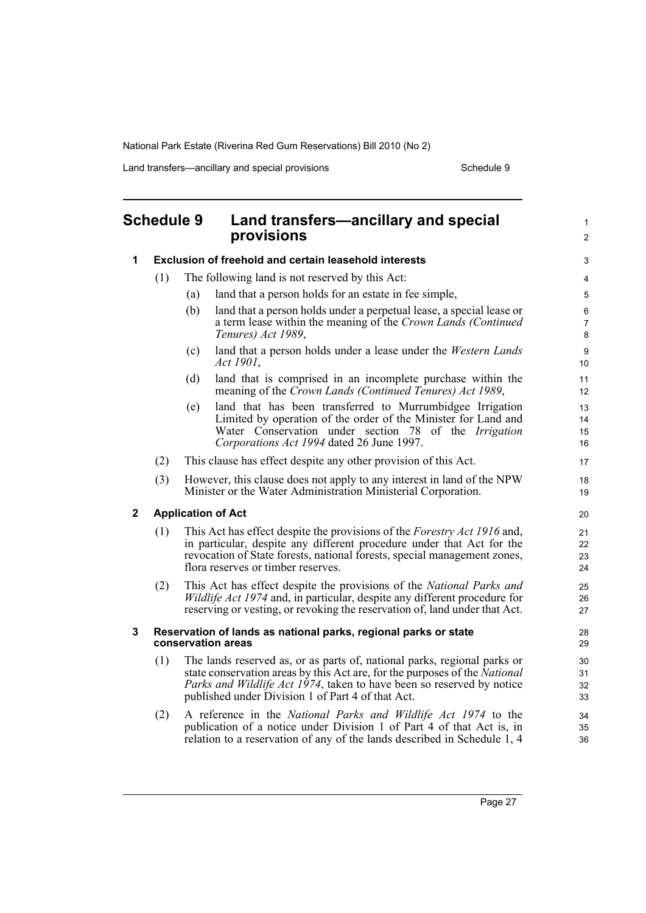Land transfers—ancillary and special provisions example 3 Schedule 9

<span id="page-34-0"></span>

| <b>Schedule 9</b> |     |                                    | Land transfers—ancillary and special<br>provisions                                                                                                                                                                                                                                   |                      |
|-------------------|-----|------------------------------------|--------------------------------------------------------------------------------------------------------------------------------------------------------------------------------------------------------------------------------------------------------------------------------------|----------------------|
| 1                 |     |                                    | Exclusion of freehold and certain leasehold interests                                                                                                                                                                                                                                | 3                    |
|                   | (1) |                                    | The following land is not reserved by this Act:                                                                                                                                                                                                                                      | 4                    |
|                   |     | (a)                                | land that a person holds for an estate in fee simple,                                                                                                                                                                                                                                | 5                    |
|                   |     | (b)<br>Tenures) Act 1989,          | land that a person holds under a perpetual lease, a special lease or<br>a term lease within the meaning of the Crown Lands (Continued                                                                                                                                                | 6<br>7<br>8          |
|                   |     | (c)<br>Act 1901,                   | land that a person holds under a lease under the Western Lands                                                                                                                                                                                                                       | 9<br>10              |
|                   |     | (d)                                | land that is comprised in an incomplete purchase within the<br>meaning of the Crown Lands (Continued Tenures) Act 1989,                                                                                                                                                              | 11<br>12             |
|                   |     | (e)                                | land that has been transferred to Murrumbidgee Irrigation<br>Limited by operation of the order of the Minister for Land and<br>Water Conservation under section 78 of the <i>Irrigation</i><br>Corporations Act 1994 dated 26 June 1997.                                             | 13<br>14<br>15<br>16 |
|                   | (2) |                                    | This clause has effect despite any other provision of this Act.                                                                                                                                                                                                                      | 17                   |
|                   | (3) |                                    | However, this clause does not apply to any interest in land of the NPW<br>Minister or the Water Administration Ministerial Corporation.                                                                                                                                              | 18<br>19             |
| $\mathbf{2}$      |     | <b>Application of Act</b>          |                                                                                                                                                                                                                                                                                      | 20                   |
|                   | (1) | flora reserves or timber reserves. | This Act has effect despite the provisions of the <i>Forestry Act 1916</i> and,<br>in particular, despite any different procedure under that Act for the<br>revocation of State forests, national forests, special management zones,                                                 | 21<br>22<br>23<br>24 |
|                   | (2) |                                    | This Act has effect despite the provisions of the National Parks and<br><i>Wildlife Act 1974</i> and, in particular, despite any different procedure for<br>reserving or vesting, or revoking the reservation of, land under that Act.                                               | 25<br>26<br>27       |
| 3                 |     | conservation areas                 | Reservation of lands as national parks, regional parks or state                                                                                                                                                                                                                      | 28<br>29             |
|                   | (1) |                                    | The lands reserved as, or as parts of, national parks, regional parks or<br>state conservation areas by this Act are, for the purposes of the National<br>Parks and Wildlife Act 1974, taken to have been so reserved by notice<br>published under Division 1 of Part 4 of that Act. | 30<br>31<br>32<br>33 |
|                   | (2) |                                    | A reference in the National Parks and Wildlife Act 1974 to the<br>publication of a notice under Division 1 of Part 4 of that Act is, in<br>relation to a reservation of any of the lands described in Schedule 1, 4                                                                  | 34<br>35<br>36       |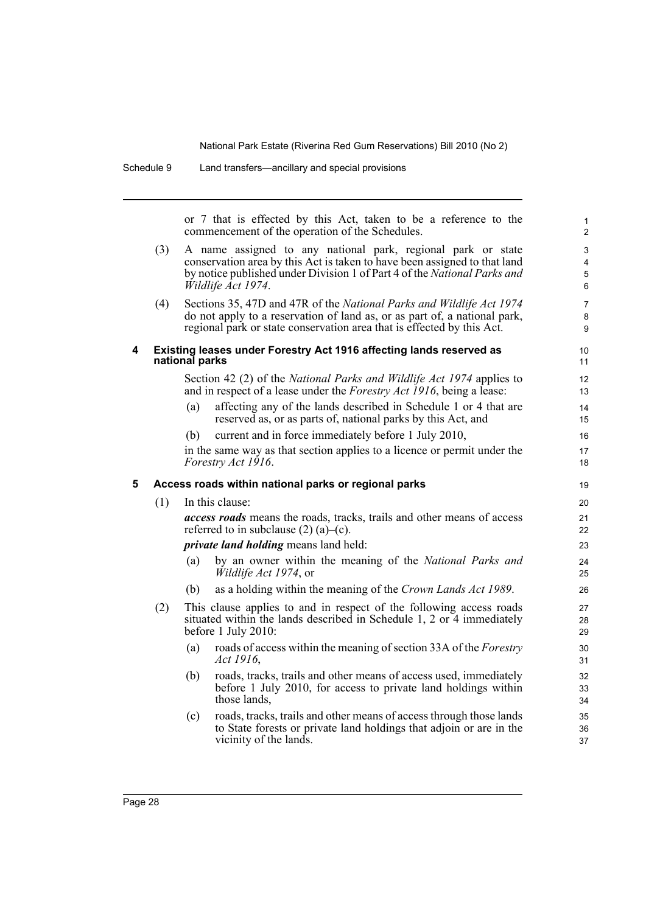Schedule 9 Land transfers—ancillary and special provisions

or 7 that is effected by this Act, taken to be a reference to the commencement of the operation of the Schedules.

1

|   |     |                | commencement of the operation of the Schedules.                                                                                                                                                                                             | $\boldsymbol{2}$           |
|---|-----|----------------|---------------------------------------------------------------------------------------------------------------------------------------------------------------------------------------------------------------------------------------------|----------------------------|
|   | (3) |                | A name assigned to any national park, regional park or state<br>conservation area by this Act is taken to have been assigned to that land<br>by notice published under Division 1 of Part 4 of the National Parks and<br>Wildlife Act 1974. | 3<br>4<br>$\mathbf 5$<br>6 |
|   | (4) |                | Sections 35, 47D and 47R of the National Parks and Wildlife Act 1974<br>do not apply to a reservation of land as, or as part of, a national park,<br>regional park or state conservation area that is effected by this Act.                 | 7<br>8<br>9                |
| 4 |     | national parks | Existing leases under Forestry Act 1916 affecting lands reserved as                                                                                                                                                                         | 10<br>11                   |
|   |     |                | Section 42 (2) of the <i>National Parks and Wildlife Act 1974</i> applies to<br>and in respect of a lease under the <i>Forestry Act 1916</i> , being a lease:                                                                               | 12<br>13                   |
|   |     | (a)            | affecting any of the lands described in Schedule 1 or 4 that are<br>reserved as, or as parts of, national parks by this Act, and                                                                                                            | 14<br>15                   |
|   |     | (b)            | current and in force immediately before 1 July 2010,<br>in the same way as that section applies to a licence or permit under the<br>Forestry Act 1916.                                                                                      | 16<br>17<br>18             |
| 5 |     |                | Access roads within national parks or regional parks                                                                                                                                                                                        | 19                         |
|   | (1) |                | In this clause:                                                                                                                                                                                                                             | 20                         |
|   |     |                | access roads means the roads, tracks, trails and other means of access<br>referred to in subclause $(2)$ (a)–(c).                                                                                                                           | 21<br>22                   |
|   |     |                | <i>private land holding</i> means land held:                                                                                                                                                                                                | 23                         |
|   |     | (a)            | by an owner within the meaning of the National Parks and<br><i>Wildlife Act 1974</i> , or                                                                                                                                                   | 24<br>25                   |
|   |     | (b)            | as a holding within the meaning of the Crown Lands Act 1989.                                                                                                                                                                                | 26                         |
|   | (2) |                | This clause applies to and in respect of the following access roads<br>situated within the lands described in Schedule 1, 2 or 4 immediately<br>before 1 July 2010:                                                                         | 27<br>28<br>29             |
|   |     | (a)            | roads of access within the meaning of section 33A of the Forestry<br>Act 1916,                                                                                                                                                              | 30<br>31                   |
|   |     | (b)            | roads, tracks, trails and other means of access used, immediately<br>before 1 July 2010, for access to private land holdings within<br>those lands,                                                                                         | 32<br>33<br>34             |
|   |     | (c)            | roads, tracks, trails and other means of access through those lands<br>to State forests or private land holdings that adjoin or are in the<br>vicinity of the lands.                                                                        | 35<br>36<br>37             |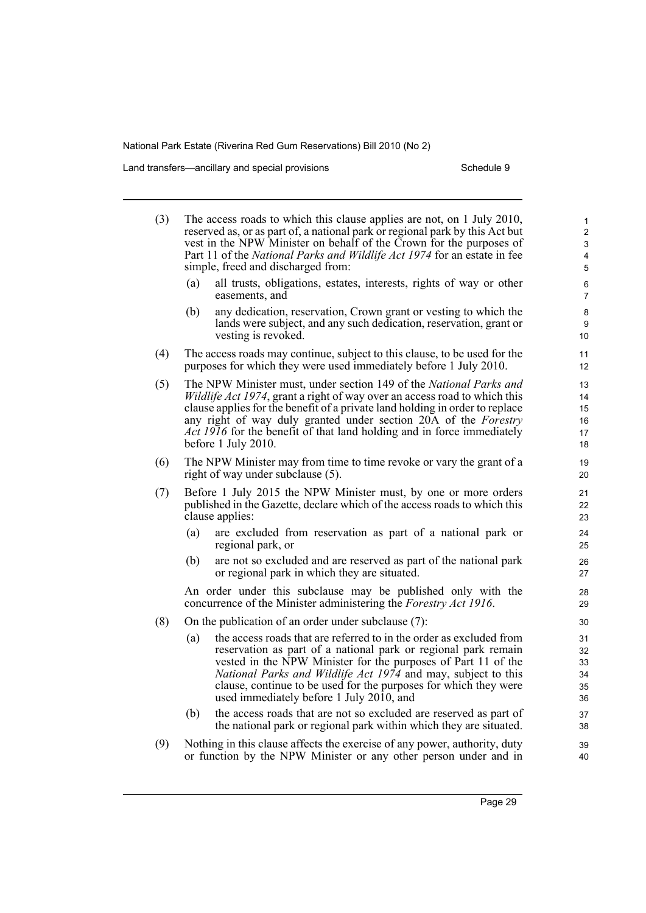Land transfers—ancillary and special provisions example 3 Schedule 9

| (3) | The access roads to which this clause applies are not, on 1 July 2010,<br>reserved as, or as part of, a national park or regional park by this Act but<br>vest in the NPW Minister on behalf of the Crown for the purposes of<br>Part 11 of the National Parks and Wildlife Act 1974 for an estate in fee<br>simple, freed and discharged from:                                                                    | 1<br>$\overline{c}$<br>3<br>4<br>5 |
|-----|--------------------------------------------------------------------------------------------------------------------------------------------------------------------------------------------------------------------------------------------------------------------------------------------------------------------------------------------------------------------------------------------------------------------|------------------------------------|
|     | all trusts, obligations, estates, interests, rights of way or other<br>(a)<br>easements, and                                                                                                                                                                                                                                                                                                                       | 6<br>$\overline{7}$                |
|     | any dedication, reservation, Crown grant or vesting to which the<br>(b)<br>lands were subject, and any such dedication, reservation, grant or<br>vesting is revoked.                                                                                                                                                                                                                                               | 8<br>9<br>10                       |
| (4) | The access roads may continue, subject to this clause, to be used for the<br>purposes for which they were used immediately before 1 July 2010.                                                                                                                                                                                                                                                                     | 11<br>12                           |
| (5) | The NPW Minister must, under section 149 of the National Parks and<br><i>Wildlife Act 1974</i> , grant a right of way over an access road to which this<br>clause applies for the benefit of a private land holding in order to replace<br>any right of way duly granted under section 20A of the Forestry<br><i>Act 1916</i> for the benefit of that land holding and in force immediately<br>before 1 July 2010. | 13<br>14<br>15<br>16<br>17<br>18   |
| (6) | The NPW Minister may from time to time revoke or vary the grant of a<br>right of way under subclause (5).                                                                                                                                                                                                                                                                                                          | 19<br>20                           |
| (7) | Before 1 July 2015 the NPW Minister must, by one or more orders<br>published in the Gazette, declare which of the access roads to which this<br>clause applies:                                                                                                                                                                                                                                                    | 21<br>22<br>23                     |
|     | are excluded from reservation as part of a national park or<br>(a)<br>regional park, or                                                                                                                                                                                                                                                                                                                            | 24<br>25                           |
|     | are not so excluded and are reserved as part of the national park<br>(b)<br>or regional park in which they are situated.                                                                                                                                                                                                                                                                                           | 26<br>27                           |
|     | An order under this subclause may be published only with the<br>concurrence of the Minister administering the Forestry Act 1916.                                                                                                                                                                                                                                                                                   | 28<br>29                           |
| (8) | On the publication of an order under subclause (7):                                                                                                                                                                                                                                                                                                                                                                | 30                                 |
|     | the access roads that are referred to in the order as excluded from<br>(a)<br>reservation as part of a national park or regional park remain<br>vested in the NPW Minister for the purposes of Part 11 of the<br>National Parks and Wildlife Act 1974 and may, subject to this<br>clause, continue to be used for the purposes for which they were<br>used immediately before 1 July 2010, and                     | 31<br>32<br>33<br>34<br>35<br>36   |
|     | (b)<br>the access roads that are not so excluded are reserved as part of<br>the national park or regional park within which they are situated.                                                                                                                                                                                                                                                                     | 37<br>38                           |
| (9) | Nothing in this clause affects the exercise of any power, authority, duty<br>or function by the NPW Minister or any other person under and in                                                                                                                                                                                                                                                                      | 39<br>40                           |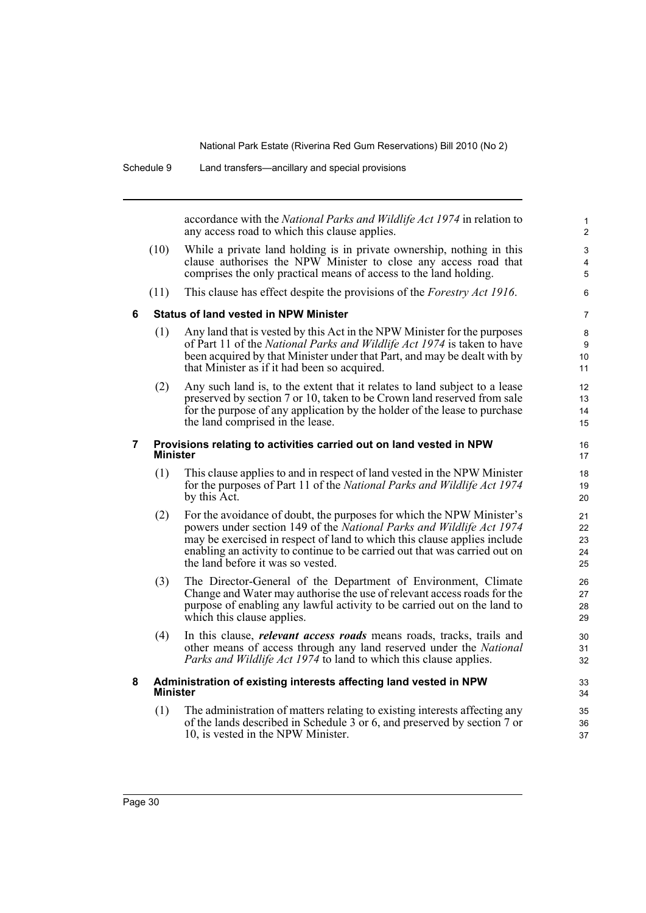accordance with the *National Parks and Wildlife Act 1974* in relation to any access road to which this clause applies.

- (10) While a private land holding is in private ownership, nothing in this clause authorises the NPW Minister to close any access road that comprises the only practical means of access to the land holding.
- (11) This clause has effect despite the provisions of the *Forestry Act 1916*.

#### **6 Status of land vested in NPW Minister**

- (1) Any land that is vested by this Act in the NPW Minister for the purposes of Part 11 of the *National Parks and Wildlife Act 1974* is taken to have been acquired by that Minister under that Part, and may be dealt with by that Minister as if it had been so acquired.
- (2) Any such land is, to the extent that it relates to land subject to a lease preserved by section 7 or 10, taken to be Crown land reserved from sale for the purpose of any application by the holder of the lease to purchase the land comprised in the lease.

#### **7 Provisions relating to activities carried out on land vested in NPW Minister**

- (1) This clause applies to and in respect of land vested in the NPW Minister for the purposes of Part 11 of the *National Parks and Wildlife Act 1974* by this Act.
- (2) For the avoidance of doubt, the purposes for which the NPW Minister's powers under section 149 of the *National Parks and Wildlife Act 1974* may be exercised in respect of land to which this clause applies include enabling an activity to continue to be carried out that was carried out on the land before it was so vested.
- (3) The Director-General of the Department of Environment, Climate Change and Water may authorise the use of relevant access roads for the purpose of enabling any lawful activity to be carried out on the land to which this clause applies.
- (4) In this clause, *relevant access roads* means roads, tracks, trails and other means of access through any land reserved under the *National Parks and Wildlife Act 1974* to land to which this clause applies.

#### **8 Administration of existing interests affecting land vested in NPW Minister**

(1) The administration of matters relating to existing interests affecting any of the lands described in Schedule 3 or 6, and preserved by section 7 or 10, is vested in the NPW Minister.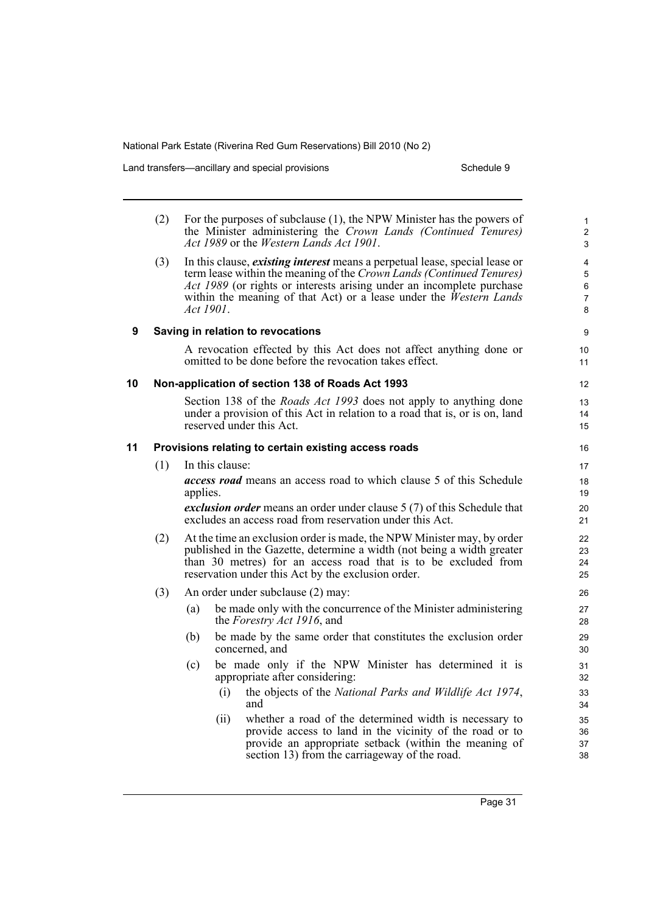Land transfers—ancillary and special provisions example 3 Schedule 9

|    | (2) |          | For the purposes of subclause (1), the NPW Minister has the powers of<br>the Minister administering the Crown Lands (Continued Tenures)<br>Act 1989 or the Western Lands Act 1901.                                                                                                                                                   | $\mathbf{1}$<br>$\overline{2}$<br>3      |
|----|-----|----------|--------------------------------------------------------------------------------------------------------------------------------------------------------------------------------------------------------------------------------------------------------------------------------------------------------------------------------------|------------------------------------------|
|    | (3) |          | In this clause, <i>existing interest</i> means a perpetual lease, special lease or<br>term lease within the meaning of the Crown Lands (Continued Tenures)<br>Act 1989 (or rights or interests arising under an incomplete purchase<br>within the meaning of that Act) or a lease under the <i>Western Lands</i><br><i>Act 1901.</i> | 4<br>5<br>$\,6\,$<br>$\overline{7}$<br>8 |
| 9  |     |          | Saving in relation to revocations                                                                                                                                                                                                                                                                                                    | 9                                        |
|    |     |          | A revocation effected by this Act does not affect anything done or<br>omitted to be done before the revocation takes effect.                                                                                                                                                                                                         | 10<br>11                                 |
| 10 |     |          | Non-application of section 138 of Roads Act 1993                                                                                                                                                                                                                                                                                     | 12                                       |
|    |     |          | Section 138 of the <i>Roads Act 1993</i> does not apply to anything done<br>under a provision of this Act in relation to a road that is, or is on, land<br>reserved under this Act.                                                                                                                                                  | 13<br>14<br>15                           |
| 11 |     |          | Provisions relating to certain existing access roads                                                                                                                                                                                                                                                                                 | 16                                       |
|    | (1) | applies. | In this clause:<br><i>access road</i> means an access road to which clause 5 of this Schedule<br>exclusion order means an order under clause 5 (7) of this Schedule that<br>excludes an access road from reservation under this Act.                                                                                                 | 17<br>18<br>19<br>20<br>21               |
|    | (2) |          | At the time an exclusion order is made, the NPW Minister may, by order<br>published in the Gazette, determine a width (not being a width greater<br>than 30 metres) for an access road that is to be excluded from<br>reservation under this Act by the exclusion order.                                                             | 22<br>23<br>24<br>25                     |
|    | (3) |          | An order under subclause (2) may:                                                                                                                                                                                                                                                                                                    | 26                                       |
|    |     | (a)      | be made only with the concurrence of the Minister administering<br>the Forestry Act 1916, and                                                                                                                                                                                                                                        | 27<br>28                                 |
|    |     | (b)      | be made by the same order that constitutes the exclusion order<br>concerned, and                                                                                                                                                                                                                                                     | 29<br>30                                 |
|    |     | (c)      | be made only if the NPW Minister has determined it is<br>appropriate after considering:<br>the objects of the National Parks and Wildlife Act 1974,<br>(i)<br>and                                                                                                                                                                    | 31<br>32<br>33<br>34                     |
|    |     |          | whether a road of the determined width is necessary to<br>(ii)<br>provide access to land in the vicinity of the road or to<br>provide an appropriate setback (within the meaning of<br>section 13) from the carriageway of the road.                                                                                                 | 35<br>36<br>37<br>38                     |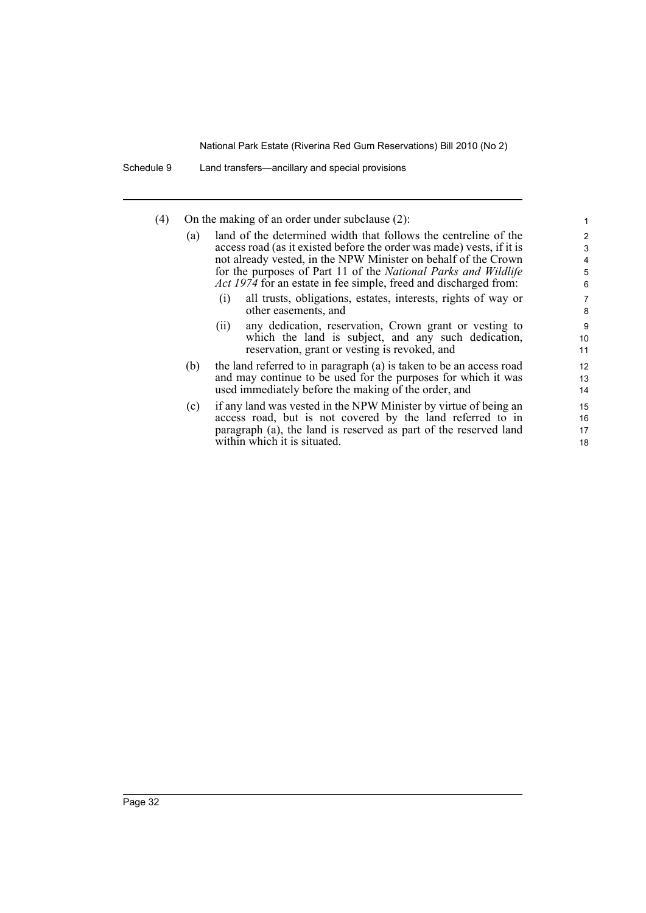Schedule 9 Land transfers—ancillary and special provisions

(4) On the making of an order under subclause (2):

- (a) land of the determined width that follows the centreline of the access road (as it existed before the order was made) vests, if it is not already vested, in the NPW Minister on behalf of the Crown for the purposes of Part 11 of the *National Parks and Wildlife Act 1974* for an estate in fee simple, freed and discharged from:
	- (i) all trusts, obligations, estates, interests, rights of way or other easements, and

- (ii) any dedication, reservation, Crown grant or vesting to which the land is subject, and any such dedication, reservation, grant or vesting is revoked, and
- (b) the land referred to in paragraph (a) is taken to be an access road and may continue to be used for the purposes for which it was used immediately before the making of the order, and
- (c) if any land was vested in the NPW Minister by virtue of being an access road, but is not covered by the land referred to in paragraph (a), the land is reserved as part of the reserved land within which it is situated.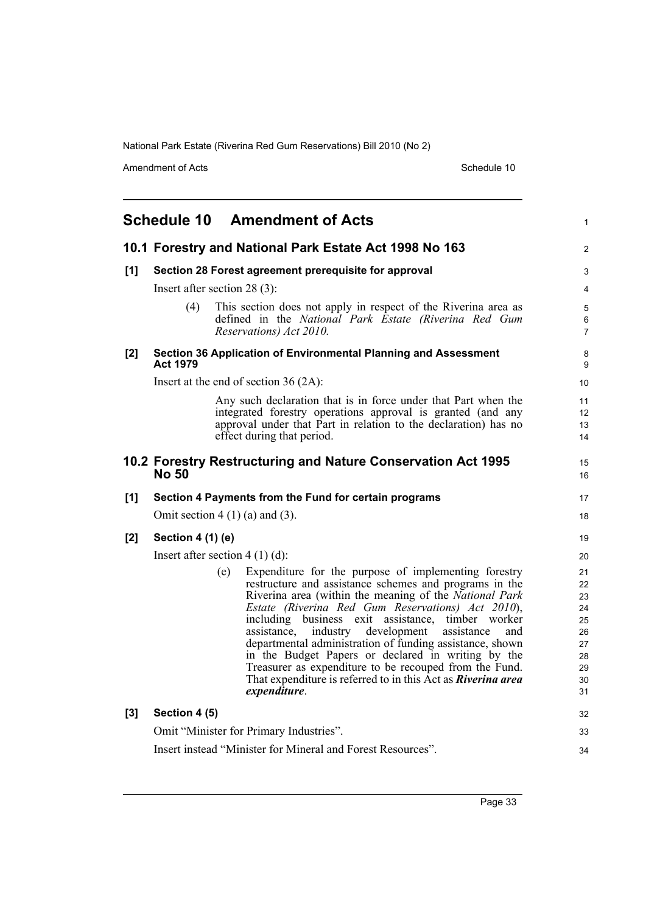Amendment of Acts Schedule 10

<span id="page-40-0"></span>

|       |                                       | <b>Schedule 10 Amendment of Acts</b>                                                                                                                                                                                                                                                                                                                                                                                                                                                                                                                                                                                        | 1                                                              |
|-------|---------------------------------------|-----------------------------------------------------------------------------------------------------------------------------------------------------------------------------------------------------------------------------------------------------------------------------------------------------------------------------------------------------------------------------------------------------------------------------------------------------------------------------------------------------------------------------------------------------------------------------------------------------------------------------|----------------------------------------------------------------|
|       |                                       | 10.1 Forestry and National Park Estate Act 1998 No 163                                                                                                                                                                                                                                                                                                                                                                                                                                                                                                                                                                      | $\overline{c}$                                                 |
| [1]   | Insert after section $28(3)$ :<br>(4) | Section 28 Forest agreement prerequisite for approval<br>This section does not apply in respect of the Riverina area as<br>defined in the National Park Estate (Riverina Red Gum                                                                                                                                                                                                                                                                                                                                                                                                                                            | 3<br>4<br>5                                                    |
| [2]   | <b>Act 1979</b>                       | Reservations) Act 2010.<br>Section 36 Application of Environmental Planning and Assessment<br>Insert at the end of section $36(2A)$ :                                                                                                                                                                                                                                                                                                                                                                                                                                                                                       | 6<br>$\overline{7}$<br>8<br>9<br>10                            |
|       |                                       | Any such declaration that is in force under that Part when the<br>integrated forestry operations approval is granted (and any<br>approval under that Part in relation to the declaration) has no<br>effect during that period.                                                                                                                                                                                                                                                                                                                                                                                              | 11<br>12<br>13<br>14                                           |
|       | <b>No 50</b>                          | 10.2 Forestry Restructuring and Nature Conservation Act 1995                                                                                                                                                                                                                                                                                                                                                                                                                                                                                                                                                                | 15<br>16                                                       |
| [1]   |                                       | Section 4 Payments from the Fund for certain programs                                                                                                                                                                                                                                                                                                                                                                                                                                                                                                                                                                       | 17                                                             |
|       |                                       | Omit section $4(1)(a)$ and $(3)$ .                                                                                                                                                                                                                                                                                                                                                                                                                                                                                                                                                                                          | 18                                                             |
| [2]   | Section 4 (1) (e)                     |                                                                                                                                                                                                                                                                                                                                                                                                                                                                                                                                                                                                                             | 19                                                             |
|       | Insert after section $4(1)(d)$ :      |                                                                                                                                                                                                                                                                                                                                                                                                                                                                                                                                                                                                                             | 20                                                             |
|       |                                       | Expenditure for the purpose of implementing forestry<br>(e)<br>restructure and assistance schemes and programs in the<br>Riverina area (within the meaning of the National Park<br>Estate (Riverina Red Gum Reservations) Act 2010),<br>including business exit assistance, timber worker<br>development<br>assistance,<br>industry<br>assistance<br>and<br>departmental administration of funding assistance, shown<br>in the Budget Papers or declared in writing by the<br>Treasurer as expenditure to be recouped from the Fund.<br>That expenditure is referred to in this Act as <b>Riverina area</b><br>expenditure. | 21<br>22<br>23<br>24<br>25<br>26<br>27<br>28<br>29<br>30<br>31 |
| $[3]$ | Section 4 (5)                         |                                                                                                                                                                                                                                                                                                                                                                                                                                                                                                                                                                                                                             | 32                                                             |
|       |                                       | Omit "Minister for Primary Industries".                                                                                                                                                                                                                                                                                                                                                                                                                                                                                                                                                                                     | 33                                                             |
|       |                                       | Insert instead "Minister for Mineral and Forest Resources".                                                                                                                                                                                                                                                                                                                                                                                                                                                                                                                                                                 | 34                                                             |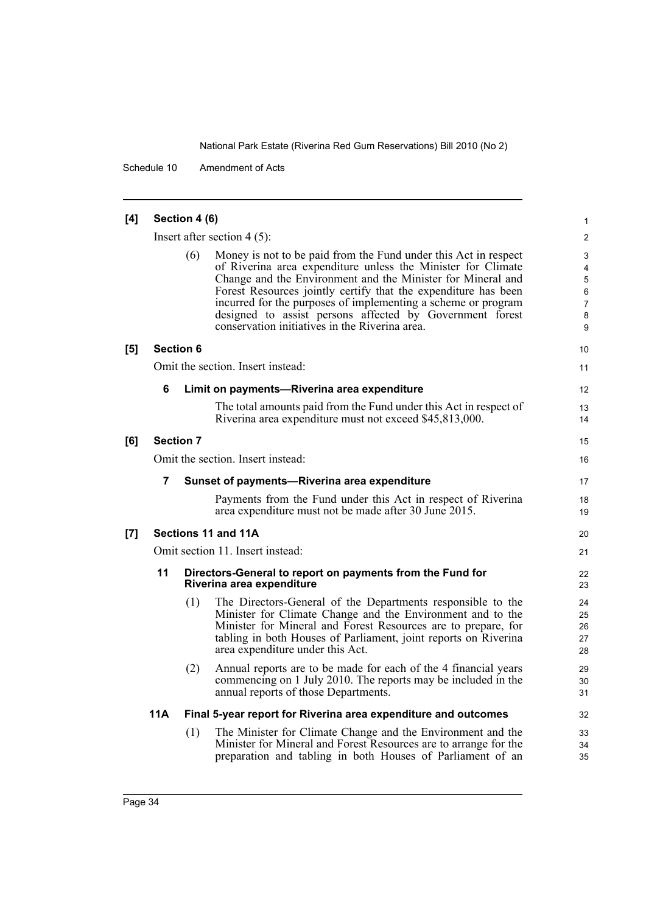Schedule 10 Amendment of Acts

| [4] | Section 4 (6)<br>1               |     |                                                                                                                                                                                                                                                                                                                                                                                                                                                 |                                                        |  |
|-----|----------------------------------|-----|-------------------------------------------------------------------------------------------------------------------------------------------------------------------------------------------------------------------------------------------------------------------------------------------------------------------------------------------------------------------------------------------------------------------------------------------------|--------------------------------------------------------|--|
|     | Insert after section $4(5)$ :    |     |                                                                                                                                                                                                                                                                                                                                                                                                                                                 |                                                        |  |
|     |                                  | (6) | Money is not to be paid from the Fund under this Act in respect<br>of Riverina area expenditure unless the Minister for Climate<br>Change and the Environment and the Minister for Mineral and<br>Forest Resources jointly certify that the expenditure has been<br>incurred for the purposes of implementing a scheme or program<br>designed to assist persons affected by Government forest<br>conservation initiatives in the Riverina area. | 3<br>4<br>$\mathbf 5$<br>6<br>$\overline{7}$<br>8<br>9 |  |
| [5] | <b>Section 6</b>                 |     |                                                                                                                                                                                                                                                                                                                                                                                                                                                 | 10                                                     |  |
|     |                                  |     | Omit the section. Insert instead:                                                                                                                                                                                                                                                                                                                                                                                                               | 11                                                     |  |
|     | 6                                |     | Limit on payments-Riverina area expenditure                                                                                                                                                                                                                                                                                                                                                                                                     | 12                                                     |  |
|     |                                  |     | The total amounts paid from the Fund under this Act in respect of<br>Riverina area expenditure must not exceed \$45,813,000.                                                                                                                                                                                                                                                                                                                    | 13<br>14                                               |  |
| [6] | <b>Section 7</b>                 |     |                                                                                                                                                                                                                                                                                                                                                                                                                                                 | 15                                                     |  |
|     |                                  |     | Omit the section. Insert instead:                                                                                                                                                                                                                                                                                                                                                                                                               | 16                                                     |  |
|     | 7                                |     | Sunset of payments-Riverina area expenditure                                                                                                                                                                                                                                                                                                                                                                                                    | 17                                                     |  |
|     |                                  |     | Payments from the Fund under this Act in respect of Riverina<br>area expenditure must not be made after 30 June 2015.                                                                                                                                                                                                                                                                                                                           | 18<br>19                                               |  |
| [7] |                                  |     | Sections 11 and 11A                                                                                                                                                                                                                                                                                                                                                                                                                             | 20                                                     |  |
|     | Omit section 11. Insert instead: |     |                                                                                                                                                                                                                                                                                                                                                                                                                                                 |                                                        |  |
|     | 11                               |     | Directors-General to report on payments from the Fund for<br>Riverina area expenditure                                                                                                                                                                                                                                                                                                                                                          | 22<br>23                                               |  |
|     |                                  | (1) | The Directors-General of the Departments responsible to the<br>Minister for Climate Change and the Environment and to the<br>Minister for Mineral and Forest Resources are to prepare, for<br>tabling in both Houses of Parliament, joint reports on Riverina<br>area expenditure under this Act.                                                                                                                                               | 24<br>25<br>26<br>27<br>28                             |  |
|     |                                  | (2) | Annual reports are to be made for each of the 4 financial years<br>commencing on 1 July 2010. The reports may be included in the<br>annual reports of those Departments.                                                                                                                                                                                                                                                                        | 29<br>30<br>31                                         |  |
|     | 11A                              |     | Final 5-year report for Riverina area expenditure and outcomes                                                                                                                                                                                                                                                                                                                                                                                  | 32                                                     |  |
|     |                                  | (1) | The Minister for Climate Change and the Environment and the<br>Minister for Mineral and Forest Resources are to arrange for the<br>preparation and tabling in both Houses of Parliament of an                                                                                                                                                                                                                                                   | 33<br>34<br>35                                         |  |